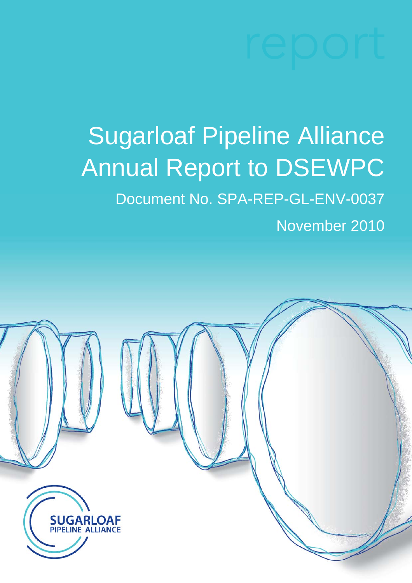# Sugarloaf Pipeline Alliance Annual Report to DSEWPC Document No. SPA-REP-GL-ENV-0037

November 2010

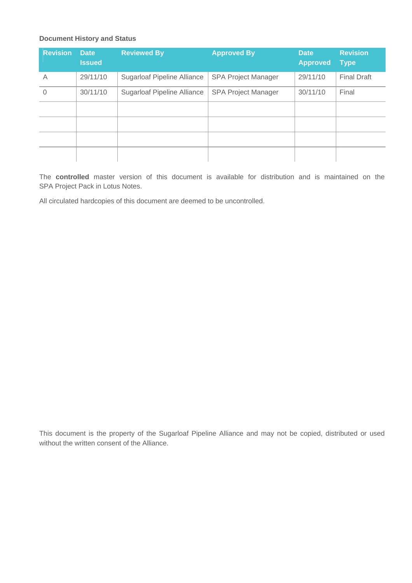#### **Document History and Status**

| <b>Revision</b> | <b>Date</b><br><b>Issued</b> | <b>Reviewed By</b>                 | <b>Approved By</b>         | <b>Date</b><br><b>Approved</b> | <b>Revision</b><br><b>Type</b> |
|-----------------|------------------------------|------------------------------------|----------------------------|--------------------------------|--------------------------------|
| A               | 29/11/10                     | <b>Sugarloaf Pipeline Alliance</b> | <b>SPA Project Manager</b> | 29/11/10                       | <b>Final Draft</b>             |
| $\Omega$        | 30/11/10                     | <b>Sugarloaf Pipeline Alliance</b> | <b>SPA Project Manager</b> | 30/11/10                       | Final                          |
|                 |                              |                                    |                            |                                |                                |
|                 |                              |                                    |                            |                                |                                |
|                 |                              |                                    |                            |                                |                                |
|                 |                              |                                    |                            |                                |                                |

The **controlled** master version of this document is available for distribution and is maintained on the SPA Project Pack in Lotus Notes.

All circulated hardcopies of this document are deemed to be uncontrolled.

This document is the property of the Sugarloaf Pipeline Alliance and may not be copied, distributed or used without the written consent of the Alliance.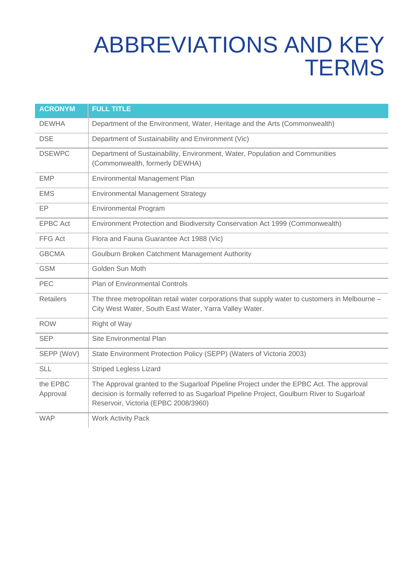## ABBREVIATIONS AND KEY **TERMS**

| <b>ACRONYM</b>       | <b>FULL TITLE</b>                                                                                                                                                                                                              |  |
|----------------------|--------------------------------------------------------------------------------------------------------------------------------------------------------------------------------------------------------------------------------|--|
| <b>DEWHA</b>         | Department of the Environment, Water, Heritage and the Arts (Commonwealth)                                                                                                                                                     |  |
| <b>DSE</b>           | Department of Sustainability and Environment (Vic)                                                                                                                                                                             |  |
| <b>DSEWPC</b>        | Department of Sustainability, Environment, Water, Population and Communities<br>(Commonwealth, formerly DEWHA)                                                                                                                 |  |
| <b>EMP</b>           | Environmental Management Plan                                                                                                                                                                                                  |  |
| <b>EMS</b>           | <b>Environmental Management Strategy</b>                                                                                                                                                                                       |  |
| <b>EP</b>            | <b>Environmental Program</b>                                                                                                                                                                                                   |  |
| <b>EPBC Act</b>      | Environment Protection and Biodiversity Conservation Act 1999 (Commonwealth)                                                                                                                                                   |  |
| FFG Act              | Flora and Fauna Guarantee Act 1988 (Vic)                                                                                                                                                                                       |  |
| <b>GBCMA</b>         | Goulburn Broken Catchment Management Authority                                                                                                                                                                                 |  |
| <b>GSM</b>           | Golden Sun Moth                                                                                                                                                                                                                |  |
| <b>PEC</b>           | <b>Plan of Environmental Controls</b>                                                                                                                                                                                          |  |
| <b>Retailers</b>     | The three metropolitan retail water corporations that supply water to customers in Melbourne -<br>City West Water, South East Water, Yarra Valley Water.                                                                       |  |
| <b>ROW</b>           | Right of Way                                                                                                                                                                                                                   |  |
| <b>SEP</b>           | Site Environmental Plan                                                                                                                                                                                                        |  |
| SEPP (WoV)           | State Environment Protection Policy (SEPP) (Waters of Victoria 2003)                                                                                                                                                           |  |
| <b>SLL</b>           | <b>Striped Legless Lizard</b>                                                                                                                                                                                                  |  |
| the EPBC<br>Approval | The Approval granted to the Sugarloaf Pipeline Project under the EPBC Act. The approval<br>decision is formally referred to as Sugarloaf Pipeline Project, Goulburn River to Sugarloaf<br>Reservoir, Victoria (EPBC 2008/3960) |  |
| <b>WAP</b>           | <b>Work Activity Pack</b>                                                                                                                                                                                                      |  |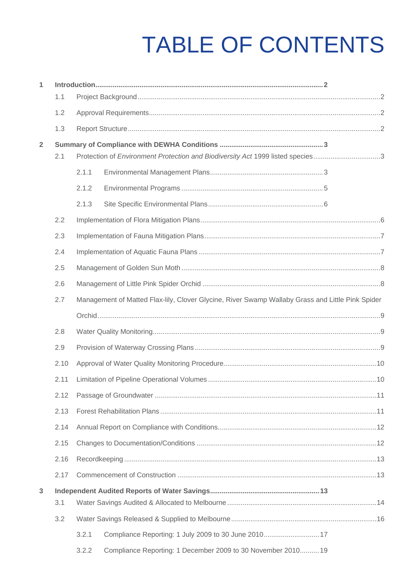## TABLE OF CONTENTS

| 1              |      |                                                                                                  |                                                                                |  |  |  |
|----------------|------|--------------------------------------------------------------------------------------------------|--------------------------------------------------------------------------------|--|--|--|
|                | 1.1  |                                                                                                  |                                                                                |  |  |  |
|                | 1.2  |                                                                                                  |                                                                                |  |  |  |
|                | 1.3  |                                                                                                  |                                                                                |  |  |  |
| $\overline{2}$ |      |                                                                                                  |                                                                                |  |  |  |
|                | 2.1  |                                                                                                  | Protection of Environment Protection and Biodiversity Act 1999 listed species3 |  |  |  |
|                |      | 2.1.1                                                                                            |                                                                                |  |  |  |
|                |      | 2.1.2                                                                                            |                                                                                |  |  |  |
|                |      | 2.1.3                                                                                            |                                                                                |  |  |  |
|                | 2.2  |                                                                                                  |                                                                                |  |  |  |
|                | 2.3  |                                                                                                  |                                                                                |  |  |  |
|                | 2.4  |                                                                                                  |                                                                                |  |  |  |
|                | 2.5  |                                                                                                  |                                                                                |  |  |  |
|                | 2.6  |                                                                                                  |                                                                                |  |  |  |
|                | 2.7  | Management of Matted Flax-lily, Clover Glycine, River Swamp Wallaby Grass and Little Pink Spider |                                                                                |  |  |  |
|                |      |                                                                                                  |                                                                                |  |  |  |
|                | 2.8  |                                                                                                  |                                                                                |  |  |  |
|                | 2.9  |                                                                                                  |                                                                                |  |  |  |
|                | 2.10 |                                                                                                  |                                                                                |  |  |  |
|                | 2.11 |                                                                                                  |                                                                                |  |  |  |
|                | 2.12 |                                                                                                  |                                                                                |  |  |  |
|                | 2.13 |                                                                                                  |                                                                                |  |  |  |
|                | 2.14 |                                                                                                  |                                                                                |  |  |  |
|                | 2.15 |                                                                                                  |                                                                                |  |  |  |
|                | 2.16 |                                                                                                  |                                                                                |  |  |  |
|                | 2.17 |                                                                                                  |                                                                                |  |  |  |
| $\overline{3}$ |      |                                                                                                  |                                                                                |  |  |  |
|                | 3.1  |                                                                                                  |                                                                                |  |  |  |
|                | 3.2  |                                                                                                  |                                                                                |  |  |  |
|                |      | 3.2.1                                                                                            | Compliance Reporting: 1 July 2009 to 30 June 2010 17                           |  |  |  |
|                |      | 322                                                                                              | Compliance Reporting: 1 December 2009 to 30 November 2010 19                   |  |  |  |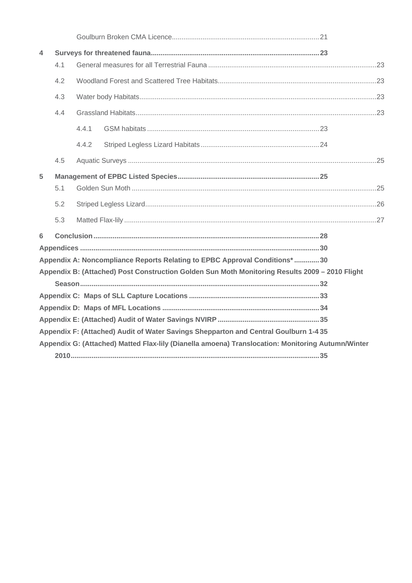| 4 |     |       |                                                                                                   |  |  |
|---|-----|-------|---------------------------------------------------------------------------------------------------|--|--|
|   | 4.1 |       |                                                                                                   |  |  |
|   | 4.2 |       |                                                                                                   |  |  |
|   | 4.3 |       |                                                                                                   |  |  |
|   | 4.4 |       |                                                                                                   |  |  |
|   |     | 4.4.1 |                                                                                                   |  |  |
|   |     | 4.4.2 |                                                                                                   |  |  |
|   | 4.5 |       |                                                                                                   |  |  |
| 5 |     |       |                                                                                                   |  |  |
|   | 5.1 |       |                                                                                                   |  |  |
|   | 5.2 |       |                                                                                                   |  |  |
|   | 5.3 |       |                                                                                                   |  |  |
| 6 |     |       |                                                                                                   |  |  |
|   |     |       |                                                                                                   |  |  |
|   |     |       | Appendix A: Noncompliance Reports Relating to EPBC Approval Conditions*30                         |  |  |
|   |     |       | Appendix B: (Attached) Post Construction Golden Sun Moth Monitoring Results 2009 - 2010 Flight    |  |  |
|   |     |       |                                                                                                   |  |  |
|   |     |       |                                                                                                   |  |  |
|   |     |       |                                                                                                   |  |  |
|   |     |       |                                                                                                   |  |  |
|   |     |       | Appendix F: (Attached) Audit of Water Savings Shepparton and Central Goulburn 1-4 35              |  |  |
|   |     |       | Appendix G: (Attached) Matted Flax-lily (Dianella amoena) Translocation: Monitoring Autumn/Winter |  |  |
|   |     |       |                                                                                                   |  |  |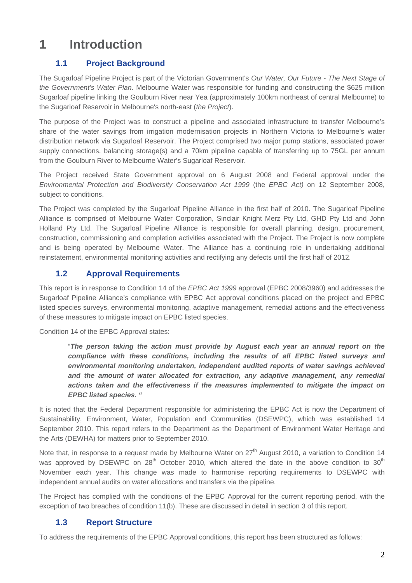### **1 Introduction**

#### **1.1 Project Background**

The Sugarloaf Pipeline Project is part of the Victorian Government's *Our Water, Our Future - The Next Stage of the Government's Water Plan*. Melbourne Water was responsible for funding and constructing the \$625 million Sugarloaf pipeline linking the Goulburn River near Yea (approximately 100km northeast of central Melbourne) to the Sugarloaf Reservoir in Melbourne's north-east (*the Project*).

The purpose of the Project was to construct a pipeline and associated infrastructure to transfer Melbourne's share of the water savings from irrigation modernisation projects in Northern Victoria to Melbourne's water distribution network via Sugarloaf Reservoir. The Project comprised two major pump stations, associated power supply connections, balancing storage(s) and a 70km pipeline capable of transferring up to 75GL per annum from the Goulburn River to Melbourne Water's Sugarloaf Reservoir.

The Project received State Government approval on 6 August 2008 and Federal approval under the *Environmental Protection and Biodiversity Conservation Act 1999* (the *EPBC Act)* on 12 September 2008, subject to conditions.

The Project was completed by the Sugarloaf Pipeline Alliance in the first half of 2010. The Sugarloaf Pipeline Alliance is comprised of Melbourne Water Corporation, Sinclair Knight Merz Pty Ltd, GHD Pty Ltd and John Holland Pty Ltd. The Sugarloaf Pipeline Alliance is responsible for overall planning, design, procurement, construction, commissioning and completion activities associated with the Project. The Project is now complete and is being operated by Melbourne Water. The Alliance has a continuing role in undertaking additional reinstatement, environmental monitoring activities and rectifying any defects until the first half of 2012.

#### **1.2 Approval Requirements**

This report is in response to Condition 14 of the *EPBC Act 1999* approval (EPBC 2008/3960) and addresses the Sugarloaf Pipeline Alliance's compliance with EPBC Act approval conditions placed on the project and EPBC listed species surveys, environmental monitoring, adaptive management, remedial actions and the effectiveness of these measures to mitigate impact on EPBC listed species.

Condition 14 of the EPBC Approval states:

"*The person taking the action must provide by August each year an annual report on the compliance with these conditions, including the results of all EPBC listed surveys and environmental monitoring undertaken, independent audited reports of water savings achieved and the amount of water allocated for extraction, any adaptive management, any remedial actions taken and the effectiveness if the measures implemented to mitigate the impact on EPBC listed species. "* 

It is noted that the Federal Department responsible for administering the EPBC Act is now the Department of Sustainability, Environment, Water, Population and Communities (DSEWPC), which was established 14 September 2010. This report refers to the Department as the Department of Environment Water Heritage and the Arts (DEWHA) for matters prior to September 2010.

Note that, in response to a request made by Melbourne Water on 27<sup>th</sup> August 2010, a variation to Condition 14 was approved by DSEWPC on  $28<sup>th</sup>$  October 2010, which altered the date in the above condition to  $30<sup>th</sup>$ November each year. This change was made to harmonise reporting requirements to DSEWPC with independent annual audits on water allocations and transfers via the pipeline.

The Project has complied with the conditions of the EPBC Approval for the current reporting period, with the exception of two breaches of condition 11(b). These are discussed in detail in section 3 of this report.

#### **1.3 Report Structure**

To address the requirements of the EPBC Approval conditions, this report has been structured as follows: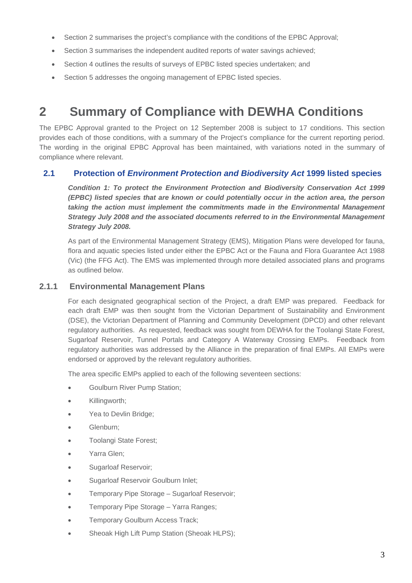- Section 2 summarises the project's compliance with the conditions of the EPBC Approval;
- Section 3 summarises the independent audited reports of water savings achieved;
- Section 4 outlines the results of surveys of EPBC listed species undertaken; and
- Section 5 addresses the ongoing management of EPBC listed species.

### **2 Summary of Compliance with DEWHA Conditions**

The EPBC Approval granted to the Project on 12 September 2008 is subject to 17 conditions. This section provides each of those conditions, with a summary of the Project's compliance for the current reporting period. The wording in the original EPBC Approval has been maintained, with variations noted in the summary of compliance where relevant.

#### **2.1 Protection of** *Environment Protection and Biodiversity Act* **1999 listed species**

*Condition 1: To protect the Environment Protection and Biodiversity Conservation Act 1999 (EPBC) listed species that are known or could potentially occur in the action area, the person*  taking the action must implement the commitments made in the Environmental Management *Strategy July 2008 and the associated documents referred to in the Environmental Management Strategy July 2008.* 

As part of the Environmental Management Strategy (EMS), Mitigation Plans were developed for fauna, flora and aquatic species listed under either the EPBC Act or the Fauna and Flora Guarantee Act 1988 (Vic) (the FFG Act). The EMS was implemented through more detailed associated plans and programs as outlined below.

#### **2.1.1 Environmental Management Plans**

For each designated geographical section of the Project, a draft EMP was prepared. Feedback for each draft EMP was then sought from the Victorian Department of Sustainability and Environment (DSE), the Victorian Department of Planning and Community Development (DPCD) and other relevant regulatory authorities. As requested, feedback was sought from DEWHA for the Toolangi State Forest, Sugarloaf Reservoir, Tunnel Portals and Category A Waterway Crossing EMPs. Feedback from regulatory authorities was addressed by the Alliance in the preparation of final EMPs. All EMPs were endorsed or approved by the relevant regulatory authorities.

The area specific EMPs applied to each of the following seventeen sections:

- Goulburn River Pump Station;
- Killingworth;
- Yea to Devlin Bridge:
- Glenburn;
- Toolangi State Forest;
- Yarra Glen;
- Sugarloaf Reservoir;
- Sugarloaf Reservoir Goulburn Inlet;
- Temporary Pipe Storage Sugarloaf Reservoir;
- Temporary Pipe Storage Yarra Ranges;
- Temporary Goulburn Access Track;
- Sheoak High Lift Pump Station (Sheoak HLPS);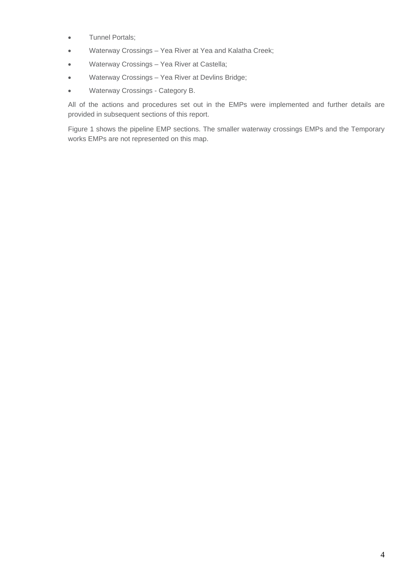- Tunnel Portals;
- Waterway Crossings Yea River at Yea and Kalatha Creek;
- Waterway Crossings Yea River at Castella;
- Waterway Crossings Yea River at Devlins Bridge;
- Waterway Crossings Category B.

All of the actions and procedures set out in the EMPs were implemented and further details are provided in subsequent sections of this report.

Figure 1 shows the pipeline EMP sections. The smaller waterway crossings EMPs and the Temporary works EMPs are not represented on this map.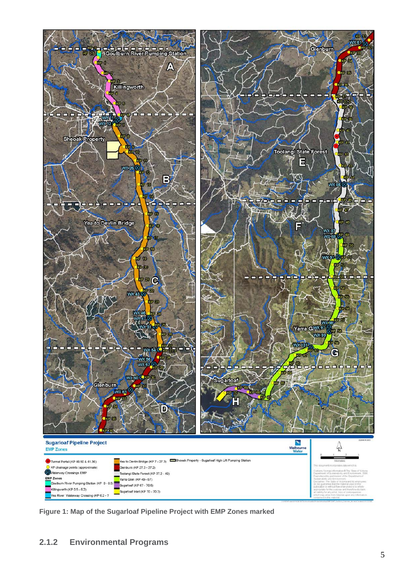

**Figure 1: Map of the Sugarloaf Pipeline Project with EMP Zones marked**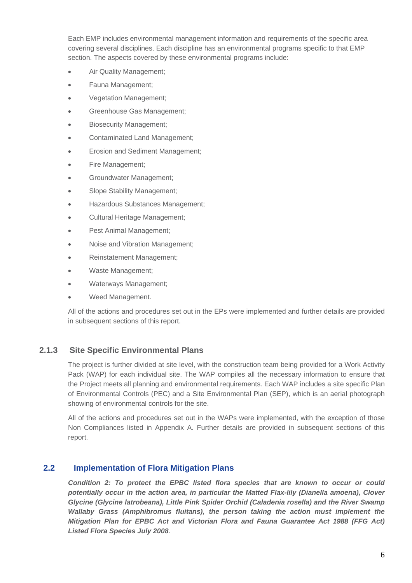Each EMP includes environmental management information and requirements of the specific area covering several disciplines. Each discipline has an environmental programs specific to that EMP section. The aspects covered by these environmental programs include:

- Air Quality Management;
- Fauna Management;
- Vegetation Management;
- Greenhouse Gas Management;
- Biosecurity Management;
- Contaminated Land Management;
- Erosion and Sediment Management;
- Fire Management:
- Groundwater Management;
- Slope Stability Management;
- Hazardous Substances Management;
- Cultural Heritage Management;
- Pest Animal Management;
- Noise and Vibration Management;
- Reinstatement Management;
- Waste Management;
- Waterways Management;
- Weed Management.

All of the actions and procedures set out in the EPs were implemented and further details are provided in subsequent sections of this report.

#### **2.1.3 Site Specific Environmental Plans**

The project is further divided at site level, with the construction team being provided for a Work Activity Pack (WAP) for each individual site. The WAP compiles all the necessary information to ensure that the Project meets all planning and environmental requirements. Each WAP includes a site specific Plan of Environmental Controls (PEC) and a Site Environmental Plan (SEP), which is an aerial photograph showing of environmental controls for the site.

All of the actions and procedures set out in the WAPs were implemented, with the exception of those Non Compliances listed in Appendix A. Further details are provided in subsequent sections of this report.

#### **2.2 Implementation of Flora Mitigation Plans**

*Condition 2: To protect the EPBC listed flora species that are known to occur or could potentially occur in the action area, in particular the Matted Flax-lily (Dianella amoena), Clover Glycine (Glycine latrobeana), Little Pink Spider Orchid (Caladenia rosella) and the River Swamp Wallaby Grass (Amphibromus fluitans), the person taking the action must implement the Mitigation Plan for EPBC Act and Victorian Flora and Fauna Guarantee Act 1988 (FFG Act) Listed Flora Species July 2008*.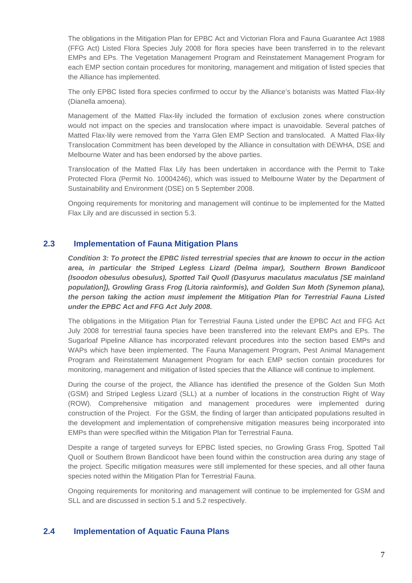The obligations in the Mitigation Plan for EPBC Act and Victorian Flora and Fauna Guarantee Act 1988 (FFG Act) Listed Flora Species July 2008 for flora species have been transferred in to the relevant EMPs and EPs. The Vegetation Management Program and Reinstatement Management Program for each EMP section contain procedures for monitoring, management and mitigation of listed species that the Alliance has implemented.

The only EPBC listed flora species confirmed to occur by the Alliance's botanists was Matted Flax-lily (Dianella amoena).

Management of the Matted Flax-lily included the formation of exclusion zones where construction would not impact on the species and translocation where impact is unavoidable. Several patches of Matted Flax-lily were removed from the Yarra Glen EMP Section and translocated. A Matted Flax-lily Translocation Commitment has been developed by the Alliance in consultation with DEWHA, DSE and Melbourne Water and has been endorsed by the above parties.

Translocation of the Matted Flax Lily has been undertaken in accordance with the Permit to Take Protected Flora (Permit No. 10004246), which was issued to Melbourne Water by the Department of Sustainability and Environment (DSE) on 5 September 2008.

Ongoing requirements for monitoring and management will continue to be implemented for the Matted Flax Lily and are discussed in section 5.3.

#### **2.3 Implementation of Fauna Mitigation Plans**

*Condition 3: To protect the EPBC listed terrestrial species that are known to occur in the action area, in particular the Striped Legless Lizard (Delma impar), Southern Brown Bandicoot (Isoodon obesulus obesulus), Spotted Tail Quoll (Dasyurus maculatus maculatus [SE mainland population]), Growling Grass Frog (Litoria rainformis), and Golden Sun Moth (Synemon plana), the person taking the action must implement the Mitigation Plan for Terrestrial Fauna Listed under the EPBC Act and FFG Act July 2008.* 

The obligations in the Mitigation Plan for Terrestrial Fauna Listed under the EPBC Act and FFG Act July 2008 for terrestrial fauna species have been transferred into the relevant EMPs and EPs. The Sugarloaf Pipeline Alliance has incorporated relevant procedures into the section based EMPs and WAPs which have been implemented. The Fauna Management Program, Pest Animal Management Program and Reinstatement Management Program for each EMP section contain procedures for monitoring, management and mitigation of listed species that the Alliance will continue to implement.

During the course of the project, the Alliance has identified the presence of the Golden Sun Moth (GSM) and Striped Legless Lizard (SLL) at a number of locations in the construction Right of Way (ROW). Comprehensive mitigation and management procedures were implemented during construction of the Project. For the GSM, the finding of larger than anticipated populations resulted in the development and implementation of comprehensive mitigation measures being incorporated into EMPs than were specified within the Mitigation Plan for Terrestrial Fauna.

Despite a range of targeted surveys for EPBC listed species, no Growling Grass Frog, Spotted Tail Quoll or Southern Brown Bandicoot have been found within the construction area during any stage of the project. Specific mitigation measures were still implemented for these species, and all other fauna species noted within the Mitigation Plan for Terrestrial Fauna.

Ongoing requirements for monitoring and management will continue to be implemented for GSM and SLL and are discussed in section 5.1 and 5.2 respectively.

#### **2.4 Implementation of Aquatic Fauna Plans**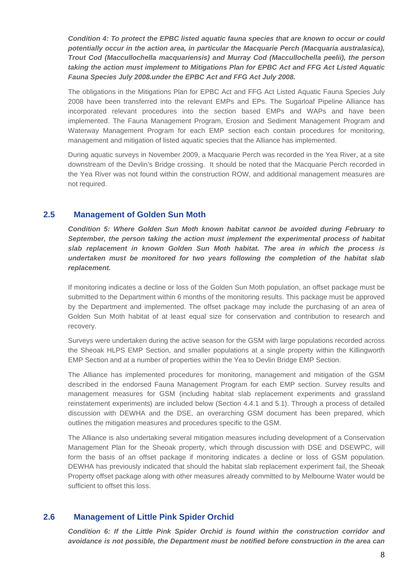*Condition 4: To protect the EPBC listed aquatic fauna species that are known to occur or could potentially occur in the action area, in particular the Macquarie Perch (Macquaria australasica), Trout Cod (Maccullochella macquariensis) and Murray Cod (Maccullochella peelii), the person taking the action must implement to Mitigations Plan for EPBC Act and FFG Act Listed Aquatic Fauna Species July 2008.under the EPBC Act and FFG Act July 2008.* 

The obligations in the Mitigations Plan for EPBC Act and FFG Act Listed Aquatic Fauna Species July 2008 have been transferred into the relevant EMPs and EPs. The Sugarloaf Pipeline Alliance has incorporated relevant procedures into the section based EMPs and WAPs and have been implemented. The Fauna Management Program, Erosion and Sediment Management Program and Waterway Management Program for each EMP section each contain procedures for monitoring, management and mitigation of listed aquatic species that the Alliance has implemented.

During aquatic surveys in November 2009, a Macquarie Perch was recorded in the Yea River, at a site downstream of the Devlin's Bridge crossing. It should be noted that the Macquarie Perch recorded in the Yea River was not found within the construction ROW, and additional management measures are not required.

#### **2.5 Management of Golden Sun Moth**

*Condition 5: Where Golden Sun Moth known habitat cannot be avoided during February to September, the person taking the action must implement the experimental process of habitat slab replacement in known Golden Sun Moth habitat. The area in which the process is undertaken must be monitored for two years following the completion of the habitat slab replacement.*

If monitoring indicates a decline or loss of the Golden Sun Moth population, an offset package must be submitted to the Department within 6 months of the monitoring results. This package must be approved by the Department and implemented. The offset package may include the purchasing of an area of Golden Sun Moth habitat of at least equal size for conservation and contribution to research and recovery.

Surveys were undertaken during the active season for the GSM with large populations recorded across the Sheoak HLPS EMP Section, and smaller populations at a single property within the Killingworth EMP Section and at a number of properties within the Yea to Devlin Bridge EMP Section.

The Alliance has implemented procedures for monitoring, management and mitigation of the GSM described in the endorsed Fauna Management Program for each EMP section. Survey results and management measures for GSM (including habitat slab replacement experiments and grassland reinstatement experiments) are included below (Section 4.4.1 and 5.1). Through a process of detailed discussion with DEWHA and the DSE, an overarching GSM document has been prepared, which outlines the mitigation measures and procedures specific to the GSM.

The Alliance is also undertaking several mitigation measures including development of a Conservation Management Plan for the Sheoak property, which through discussion with DSE and DSEWPC, will form the basis of an offset package if monitoring indicates a decline or loss of GSM population. DEWHA has previously indicated that should the habitat slab replacement experiment fail, the Sheoak Property offset package along with other measures already committed to by Melbourne Water would be sufficient to offset this loss.

#### **2.6 Management of Little Pink Spider Orchid**

*Condition 6: If the Little Pink Spider Orchid is found within the construction corridor and avoidance is not possible, the Department must be notified before construction in the area can*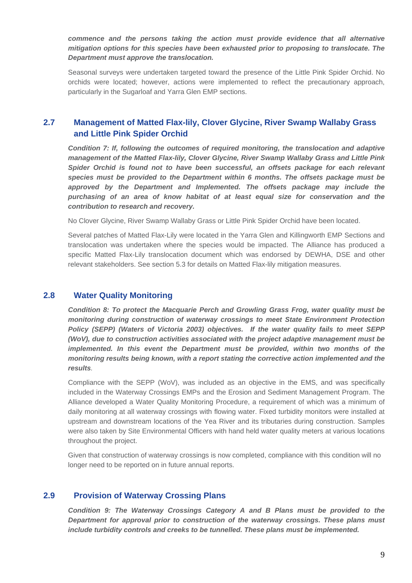*commence and the persons taking the action must provide evidence that all alternative mitigation options for this species have been exhausted prior to proposing to translocate. The Department must approve the translocation.* 

Seasonal surveys were undertaken targeted toward the presence of the Little Pink Spider Orchid. No orchids were located; however, actions were implemented to reflect the precautionary approach, particularly in the Sugarloaf and Yarra Glen EMP sections.

#### **2.7 Management of Matted Flax-lily, Clover Glycine, River Swamp Wallaby Grass and Little Pink Spider Orchid**

*Condition 7: If, following the outcomes of required monitoring, the translocation and adaptive management of the Matted Flax-lily, Clover Glycine, River Swamp Wallaby Grass and Little Pink Spider Orchid is found not to have been successful, an offsets package for each relevant species must be provided to the Department within 6 months. The offsets package must be approved by the Department and Implemented. The offsets package may include the purchasing of an area of know habitat of at least equal size for conservation and the contribution to research and recovery.* 

No Clover Glycine, River Swamp Wallaby Grass or Little Pink Spider Orchid have been located.

Several patches of Matted Flax-Lily were located in the Yarra Glen and Killingworth EMP Sections and translocation was undertaken where the species would be impacted. The Alliance has produced a specific Matted Flax-Lily translocation document which was endorsed by DEWHA, DSE and other relevant stakeholders. See section 5.3 for details on Matted Flax-lily mitigation measures.

#### **2.8 Water Quality Monitoring**

*Condition 8: To protect the Macquarie Perch and Growling Grass Frog, water quality must be monitoring during construction of waterway crossings to meet State Environment Protection Policy (SEPP) (Waters of Victoria 2003) objectives. If the water quality fails to meet SEPP (WoV), due to construction activities associated with the project adaptive management must be implemented. In this event the Department must be provided, within two months of the monitoring results being known, with a report stating the corrective action implemented and the results.* 

Compliance with the SEPP (WoV), was included as an objective in the EMS, and was specifically included in the Waterway Crossings EMPs and the Erosion and Sediment Management Program. The Alliance developed a Water Quality Monitoring Procedure, a requirement of which was a minimum of daily monitoring at all waterway crossings with flowing water. Fixed turbidity monitors were installed at upstream and downstream locations of the Yea River and its tributaries during construction. Samples were also taken by Site Environmental Officers with hand held water quality meters at various locations throughout the project.

Given that construction of waterway crossings is now completed, compliance with this condition will no longer need to be reported on in future annual reports.

#### **2.9 Provision of Waterway Crossing Plans**

*Condition 9: The Waterway Crossings Category A and B Plans must be provided to the Department for approval prior to construction of the waterway crossings. These plans must include turbidity controls and creeks to be tunnelled. These plans must be implemented.*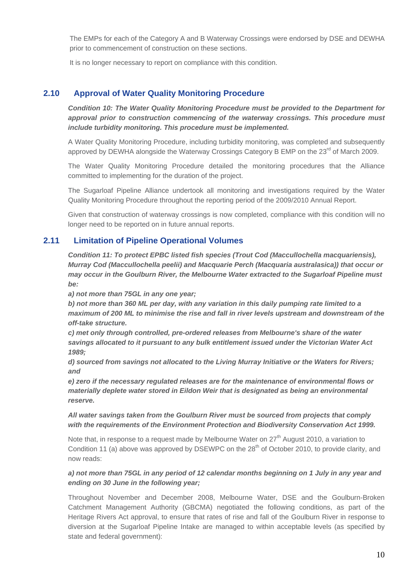The EMPs for each of the Category A and B Waterway Crossings were endorsed by DSE and DEWHA prior to commencement of construction on these sections.

It is no longer necessary to report on compliance with this condition.

#### **2.10 Approval of Water Quality Monitoring Procedure**

*Condition 10: The Water Quality Monitoring Procedure must be provided to the Department for approval prior to construction commencing of the waterway crossings. This procedure must include turbidity monitoring. This procedure must be implemented.* 

A Water Quality Monitoring Procedure, including turbidity monitoring, was completed and subsequently approved by DEWHA alongside the Waterway Crossings Category B EMP on the 23<sup>rd</sup> of March 2009.

The Water Quality Monitoring Procedure detailed the monitoring procedures that the Alliance committed to implementing for the duration of the project.

The Sugarloaf Pipeline Alliance undertook all monitoring and investigations required by the Water Quality Monitoring Procedure throughout the reporting period of the 2009/2010 Annual Report.

Given that construction of waterway crossings is now completed, compliance with this condition will no longer need to be reported on in future annual reports.

#### **2.11 Limitation of Pipeline Operational Volumes**

*Condition 11: To protect EPBC listed fish species (Trout Cod (Maccullochella macquariensis), Murray Cod (Maccullochella peelii) and Macquarie Perch (Macquaria australasica)) that occur or may occur in the Goulburn River, the Melbourne Water extracted to the Sugarloaf Pipeline must be:* 

*a) not more than 75GL in any one year;* 

*b) not more than 360 ML per day, with any variation in this daily pumping rate limited to a maximum of 200 ML to minimise the rise and fall in river levels upstream and downstream of the off-take structure.* 

*c) met only through controlled, pre-ordered releases from Melbourne's share of the water savings allocated to it pursuant to any bulk entitlement issued under the Victorian Water Act 1989;* 

*d) sourced from savings not allocated to the Living Murray Initiative or the Waters for Rivers; and* 

*e) zero if the necessary regulated releases are for the maintenance of environmental flows or materially deplete water stored in Eildon Weir that is designated as being an environmental reserve.* 

#### *All water savings taken from the Goulburn River must be sourced from projects that comply*  with the requirements of the Environment Protection and Biodiversity Conservation Act 1999.

Note that, in response to a request made by Melbourne Water on 27<sup>th</sup> August 2010, a variation to Condition 11 (a) above was approved by DSEWPC on the 28<sup>th</sup> of October 2010, to provide clarity, and now reads:

#### *a) not more than 75GL in any period of 12 calendar months beginning on 1 July in any year and ending on 30 June in the following year;*

Throughout November and December 2008, Melbourne Water, DSE and the Goulburn-Broken Catchment Management Authority (GBCMA) negotiated the following conditions, as part of the Heritage Rivers Act approval, to ensure that rates of rise and fall of the Goulburn River in response to diversion at the Sugarloaf Pipeline Intake are managed to within acceptable levels (as specified by state and federal government):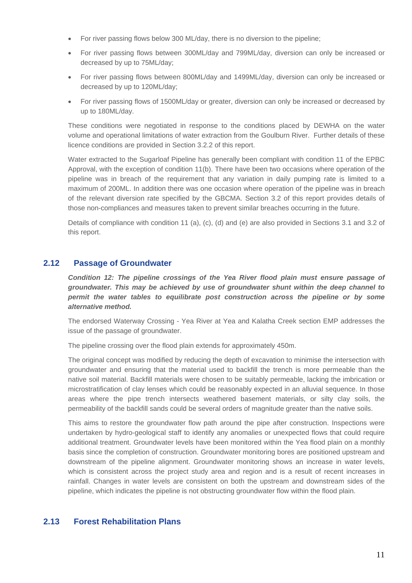- For river passing flows below 300 ML/day, there is no diversion to the pipeline;
- For river passing flows between 300ML/day and 799ML/day, diversion can only be increased or decreased by up to 75ML/day;
- For river passing flows between 800ML/day and 1499ML/day, diversion can only be increased or decreased by up to 120ML/day;
- For river passing flows of 1500ML/day or greater, diversion can only be increased or decreased by up to 180ML/day.

These conditions were negotiated in response to the conditions placed by DEWHA on the water volume and operational limitations of water extraction from the Goulburn River. Further details of these licence conditions are provided in Section 3.2.2 of this report.

Water extracted to the Sugarloaf Pipeline has generally been compliant with condition 11 of the EPBC Approval, with the exception of condition 11(b). There have been two occasions where operation of the pipeline was in breach of the requirement that any variation in daily pumping rate is limited to a maximum of 200ML. In addition there was one occasion where operation of the pipeline was in breach of the relevant diversion rate specified by the GBCMA. Section 3.2 of this report provides details of those non-compliances and measures taken to prevent similar breaches occurring in the future.

Details of compliance with condition 11 (a), (c), (d) and (e) are also provided in Sections 3.1 and 3.2 of this report.

#### **2.12 Passage of Groundwater**

*Condition 12: The pipeline crossings of the Yea River flood plain must ensure passage of groundwater. This may be achieved by use of groundwater shunt within the deep channel to permit the water tables to equilibrate post construction across the pipeline or by some alternative method.* 

The endorsed Waterway Crossing - Yea River at Yea and Kalatha Creek section EMP addresses the issue of the passage of groundwater.

The pipeline crossing over the flood plain extends for approximately 450m.

The original concept was modified by reducing the depth of excavation to minimise the intersection with groundwater and ensuring that the material used to backfill the trench is more permeable than the native soil material. Backfill materials were chosen to be suitably permeable, lacking the imbrication or microstratification of clay lenses which could be reasonably expected in an alluvial sequence. In those areas where the pipe trench intersects weathered basement materials, or silty clay soils, the permeability of the backfill sands could be several orders of magnitude greater than the native soils.

This aims to restore the groundwater flow path around the pipe after construction. Inspections were undertaken by hydro-geological staff to identify any anomalies or unexpected flows that could require additional treatment. Groundwater levels have been monitored within the Yea flood plain on a monthly basis since the completion of construction. Groundwater monitoring bores are positioned upstream and downstream of the pipeline alignment. Groundwater monitoring shows an increase in water levels, which is consistent across the project study area and region and is a result of recent increases in rainfall. Changes in water levels are consistent on both the upstream and downstream sides of the pipeline, which indicates the pipeline is not obstructing groundwater flow within the flood plain.

#### **2.13 Forest Rehabilitation Plans**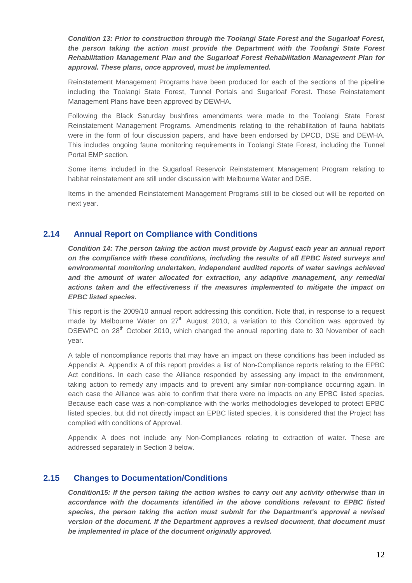*Condition 13: Prior to construction through the Toolangi State Forest and the Sugarloaf Forest, the person taking the action must provide the Department with the Toolangi State Forest Rehabilitation Management Plan and the Sugarloaf Forest Rehabilitation Management Plan for approval. These plans, once approved, must be implemented.* 

Reinstatement Management Programs have been produced for each of the sections of the pipeline including the Toolangi State Forest, Tunnel Portals and Sugarloaf Forest. These Reinstatement Management Plans have been approved by DEWHA.

Following the Black Saturday bushfires amendments were made to the Toolangi State Forest Reinstatement Management Programs. Amendments relating to the rehabilitation of fauna habitats were in the form of four discussion papers, and have been endorsed by DPCD, DSE and DEWHA. This includes ongoing fauna monitoring requirements in Toolangi State Forest, including the Tunnel Portal EMP section.

Some items included in the Sugarloaf Reservoir Reinstatement Management Program relating to habitat reinstatement are still under discussion with Melbourne Water and DSE.

Items in the amended Reinstatement Management Programs still to be closed out will be reported on next year.

#### **2.14 Annual Report on Compliance with Conditions**

*Condition 14: The person taking the action must provide by August each year an annual report on the compliance with these conditions, including the results of all EPBC listed surveys and environmental monitoring undertaken, independent audited reports of water savings achieved and the amount of water allocated for extraction, any adaptive management, any remedial actions taken and the effectiveness if the measures implemented to mitigate the impact on EPBC listed species.* 

This report is the 2009/10 annual report addressing this condition. Note that, in response to a request made by Melbourne Water on  $27<sup>th</sup>$  August 2010, a variation to this Condition was approved by DSEWPC on 28<sup>th</sup> October 2010, which changed the annual reporting date to 30 November of each year.

A table of noncompliance reports that may have an impact on these conditions has been included as Appendix A. Appendix A of this report provides a list of Non-Compliance reports relating to the EPBC Act conditions. In each case the Alliance responded by assessing any impact to the environment, taking action to remedy any impacts and to prevent any similar non-compliance occurring again. In each case the Alliance was able to confirm that there were no impacts on any EPBC listed species. Because each case was a non-compliance with the works methodologies developed to protect EPBC listed species, but did not directly impact an EPBC listed species, it is considered that the Project has complied with conditions of Approval.

Appendix A does not include any Non-Compliances relating to extraction of water. These are addressed separately in Section 3 below.

#### **2.15 Changes to Documentation/Conditions**

*Condition15: If the person taking the action wishes to carry out any activity otherwise than in accordance with the documents identified in the above conditions relevant to EPBC listed*  species, the person taking the action must submit for the Department's approval a revised *version of the document. If the Department approves a revised document, that document must be implemented in place of the document originally approved.*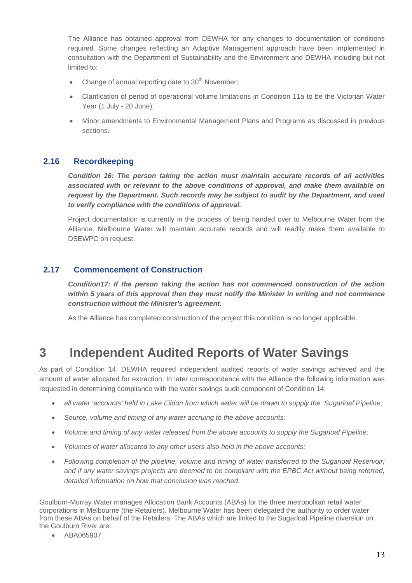The Alliance has obtained approval from DEWHA for any changes to documentation or conditions required. Some changes reflecting an Adaptive Management approach have been implemented in consultation with the Department of Sustainability and the Environment and DEWHA including but not limited to:

- Change of annual reporting date to  $30<sup>th</sup>$  November;
- Clarification of period of operational volume limitations in Condition 11a to be the Victorian Water Year (1 July - 20 June);
- Minor amendments to Environmental Management Plans and Programs as discussed in previous sections.

#### **2.16 Recordkeeping**

*Condition 16: The person taking the action must maintain accurate records of all activities associated with or relevant to the above conditions of approval, and make them available on request by the Department. Such records may be subject to audit by the Department, and used to verify compliance with the conditions of approval.* 

Project documentation is currently in the process of being handed over to Melbourne Water from the Alliance. Melbourne Water will maintain accurate records and will readily make them available to DSEWPC on request.

#### **2.17 Commencement of Construction**

*Condition17: If the person taking the action has not commenced construction of the action within 5 years of this approval then they must notify the Minister in writing and not commence construction without the Minister's agreement.* 

As the Alliance has completed construction of the project this condition is no longer applicable.

### **3 Independent Audited Reports of Water Savings**

As part of Condition 14, DEWHA required independent audited reports of water savings achieved and the amount of water allocated for extraction. In later correspondence with the Alliance the following information was requested in determining compliance with the water savings audit component of Condition 14:

- *all water 'accounts' held in Lake Eildon from which water will be drawn to supply the Sugarloaf Pipeline;*
- *Source, volume and timing of any water accruing to the above accounts;*
- *Volume and timing of any water released from the above accounts to supply the Sugarloaf Pipeline;*
- *Volumes of water allocated to any other users also held in the above accounts;*
- *Following completion of the pipeline, volume and timing of water transferred to the Sugarloaf Reservoir;*  and if any water savings projects are deemed to be compliant with the EPBC Act without being referred, *detailed information on how that conclusion was reached.*

Goulburn-Murray Water manages Allocation Bank Accounts (ABAs) for the three metropolitan retail water corporations in Melbourne (the Retailers). Melbourne Water has been delegated the authority to order water from these ABAs on behalf of the Retailers. The ABAs which are linked to the Sugarloaf Pipeline diversion on the Goulburn River are:

• ABA065907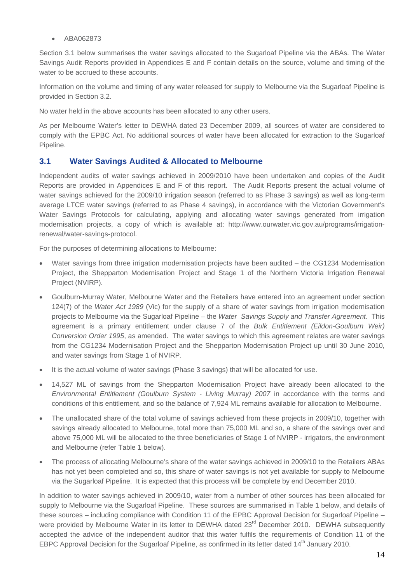• ABA062873

Section 3.1 below summarises the water savings allocated to the Sugarloaf Pipeline via the ABAs. The Water Savings Audit Reports provided in Appendices E and F contain details on the source, volume and timing of the water to be accrued to these accounts.

Information on the volume and timing of any water released for supply to Melbourne via the Sugarloaf Pipeline is provided in Section 3.2.

No water held in the above accounts has been allocated to any other users.

As per Melbourne Water's letter to DEWHA dated 23 December 2009, all sources of water are considered to comply with the EPBC Act. No additional sources of water have been allocated for extraction to the Sugarloaf Pipeline.

#### **3.1 Water Savings Audited & Allocated to Melbourne**

Independent audits of water savings achieved in 2009/2010 have been undertaken and copies of the Audit Reports are provided in Appendices E and F of this report. The Audit Reports present the actual volume of water savings achieved for the 2009/10 irrigation season (referred to as Phase 3 savings) as well as long-term average LTCE water savings (referred to as Phase 4 savings), in accordance with the Victorian Government's Water Savings Protocols for calculating, applying and allocating water savings generated from irrigation modernisation projects, a copy of which is available at: http://www.ourwater.vic.gov.au/programs/irrigationrenewal/water-savings-protocol.

For the purposes of determining allocations to Melbourne:

- Water savings from three irrigation modernisation projects have been audited  $-$  the CG1234 Modernisation Project, the Shepparton Modernisation Project and Stage 1 of the Northern Victoria Irrigation Renewal Project (NVIRP).
- Goulburn-Murray Water, Melbourne Water and the Retailers have entered into an agreement under section 124(7) of the *Water Act 1989* (Vic) for the supply of a share of water savings from irrigation modernisation projects to Melbourne via the Sugarloaf Pipeline – the *Water Savings Supply and Transfer Agreement*. This agreement is a primary entitlement under clause 7 of the *Bulk Entitlement (Eildon-Goulburn Weir) Conversion Order 1995*, as amended. The water savings to which this agreement relates are water savings from the CG1234 Modernisation Project and the Shepparton Modernisation Project up until 30 June 2010, and water savings from Stage 1 of NVIRP.
- It is the actual volume of water savings (Phase 3 savings) that will be allocated for use.
- 14,527 ML of savings from the Shepparton Modernisation Project have already been allocated to the *Environmental Entitlement (Goulburn System - Living Murray) 2007* in accordance with the terms and conditions of this entitlement, and so the balance of 7,924 ML remains available for allocation to Melbourne.
- The unallocated share of the total volume of savings achieved from these projects in 2009/10, together with savings already allocated to Melbourne, total more than 75,000 ML and so, a share of the savings over and above 75,000 ML will be allocated to the three beneficiaries of Stage 1 of NVIRP - irrigators, the environment and Melbourne (refer Table 1 below).
- The process of allocating Melbourne's share of the water savings achieved in 2009/10 to the Retailers ABAs has not yet been completed and so, this share of water savings is not yet available for supply to Melbourne via the Sugarloaf Pipeline. It is expected that this process will be complete by end December 2010.

In addition to water savings achieved in 2009/10, water from a number of other sources has been allocated for supply to Melbourne via the Sugarloaf Pipeline. These sources are summarised in Table 1 below, and details of these sources – including compliance with Condition 11 of the EPBC Approval Decision for Sugarloaf Pipeline – were provided by Melbourne Water in its letter to DEWHA dated 23<sup>rd</sup> December 2010. DEWHA subsequently accepted the advice of the independent auditor that this water fulfils the requirements of Condition 11 of the EBPC Approval Decision for the Sugarloaf Pipeline, as confirmed in its letter dated 14<sup>th</sup> January 2010.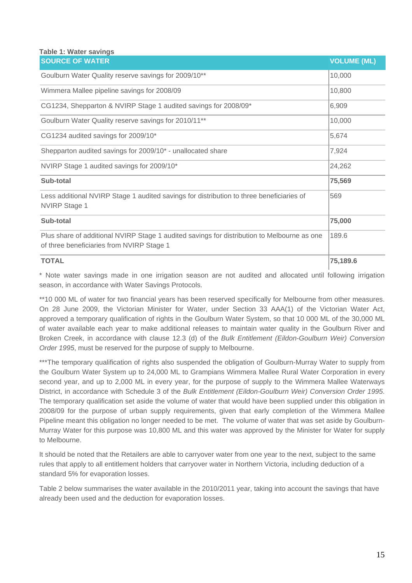#### **Table 1: Water savings**

| <b>SOURCE OF WATER</b>                                                                                                                   | <b>VOLUME (ML)</b> |
|------------------------------------------------------------------------------------------------------------------------------------------|--------------------|
| Goulburn Water Quality reserve savings for 2009/10**                                                                                     | 10,000             |
| Wimmera Mallee pipeline savings for 2008/09                                                                                              | 10,800             |
| CG1234, Shepparton & NVIRP Stage 1 audited savings for 2008/09*                                                                          | 6,909              |
| Goulburn Water Quality reserve savings for 2010/11**                                                                                     | 10,000             |
| CG1234 audited savings for 2009/10*                                                                                                      | 5,674              |
| Shepparton audited savings for 2009/10* - unallocated share                                                                              | 7,924              |
| NVIRP Stage 1 audited savings for 2009/10*                                                                                               | 24,262             |
| Sub-total                                                                                                                                | 75,569             |
| Less additional NVIRP Stage 1 audited savings for distribution to three beneficiaries of<br><b>NVIRP Stage 1</b>                         | 569                |
| Sub-total                                                                                                                                | 75,000             |
| Plus share of additional NVIRP Stage 1 audited savings for distribution to Melbourne as one<br>of three beneficiaries from NVIRP Stage 1 | 189.6              |
| <b>TOTAL</b>                                                                                                                             | 75,189.6           |

\* Note water savings made in one irrigation season are not audited and allocated until following irrigation season, in accordance with Water Savings Protocols.

\*\*10 000 ML of water for two financial years has been reserved specifically for Melbourne from other measures. On 28 June 2009, the Victorian Minister for Water, under Section 33 AAA(1) of the Victorian Water Act, approved a temporary qualification of rights in the Goulburn Water System, so that 10 000 ML of the 30,000 ML of water available each year to make additional releases to maintain water quality in the Goulburn River and Broken Creek, in accordance with clause 12.3 (d) of the *Bulk Entitlement (Eildon-Goulburn Weir) Conversion Order 1995*, must be reserved for the purpose of supply to Melbourne.

\*\*\*The temporary qualification of rights also suspended the obligation of Goulburn-Murray Water to supply from the Goulburn Water System up to 24,000 ML to Grampians Wimmera Mallee Rural Water Corporation in every second year, and up to 2,000 ML in every year, for the purpose of supply to the Wimmera Mallee Waterways District, in accordance with Schedule 3 of the *Bulk Entitlement (Eildon-Goulburn Weir) Conversion Order 1995*. The temporary qualification set aside the volume of water that would have been supplied under this obligation in 2008/09 for the purpose of urban supply requirements, given that early completion of the Wimmera Mallee Pipeline meant this obligation no longer needed to be met. The volume of water that was set aside by Goulburn-Murray Water for this purpose was 10,800 ML and this water was approved by the Minister for Water for supply to Melbourne.

It should be noted that the Retailers are able to carryover water from one year to the next, subject to the same rules that apply to all entitlement holders that carryover water in Northern Victoria, including deduction of a standard 5% for evaporation losses.

Table 2 below summarises the water available in the 2010/2011 year, taking into account the savings that have already been used and the deduction for evaporation losses.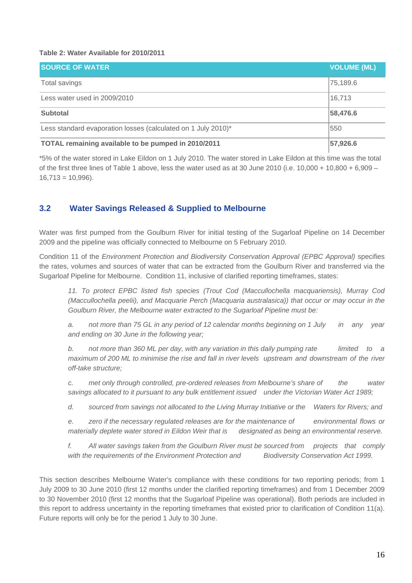#### **Table 2: Water Available for 2010/2011**

| <b>SOURCE OF WATER</b>                                        | <b>VOLUME (ML)</b> |
|---------------------------------------------------------------|--------------------|
| Total savings                                                 | 75,189.6           |
| Less water used in 2009/2010                                  | 16,713             |
| <b>Subtotal</b>                                               | 58,476.6           |
| Less standard evaporation losses (calculated on 1 July 2010)* | 550                |
| TOTAL remaining available to be pumped in 2010/2011           | 57,926.6           |

\*5% of the water stored in Lake Eildon on 1 July 2010. The water stored in Lake Eildon at this time was the total of the first three lines of Table 1 above, less the water used as at 30 June 2010 (i.e. 10,000 + 10,800 + 6,909 –  $16,713 = 10,996$ ).

#### **3.2 Water Savings Released & Supplied to Melbourne**

Water was first pumped from the Goulburn River for initial testing of the Sugarloaf Pipeline on 14 December 2009 and the pipeline was officially connected to Melbourne on 5 February 2010.

Condition 11 of the *Environment Protection and Biodiversity Conservation Approval (EPBC Approval)* specifies the rates, volumes and sources of water that can be extracted from the Goulburn River and transferred via the Sugarloaf Pipeline for Melbourne. Condition 11, inclusive of clarified reporting timeframes, states:

*11. To protect EPBC listed fish species (Trout Cod (Maccullochella macquariensis), Murray Cod (Maccullochella peelii), and Macquarie Perch (Macquaria australasica)) that occur or may occur in the Goulburn River, the Melbourne water extracted to the Sugarloaf Pipeline must be:* 

*a. not more than 75 GL in any period of 12 calendar months beginning on 1 July in any year and ending on 30 June in the following year;* 

*b. not more than 360 ML per day, with any variation in this daily pumping rate limited to a maximum of 200 ML to minimise the rise and fall in river levels upstream and downstream of the river off-take structure;* 

*c. met only through controlled, pre-ordered releases from Melbourne's share of the water savings allocated to it pursuant to any bulk entitlement issued under the Victorian Water Act 1989;* 

*d. sourced from savings not allocated to the Living Murray Initiative or the Waters for Rivers; and* 

*e. zero if the necessary regulated releases are for the maintenance of environmental flows or materially deplete water stored in Eildon Weir that is designated as being an environmental reserve.* 

*f. All water savings taken from the Goulburn River must be sourced from projects that comply*  with the requirements of the Environment Protection and Biodiversity Conservation Act 1999.

This section describes Melbourne Water's compliance with these conditions for two reporting periods; from 1 July 2009 to 30 June 2010 (first 12 months under the clarified reporting timeframes) and from 1 December 2009 to 30 November 2010 (first 12 months that the Sugarloaf Pipeline was operational). Both periods are included in this report to address uncertainty in the reporting timeframes that existed prior to clarification of Condition 11(a). Future reports will only be for the period 1 July to 30 June.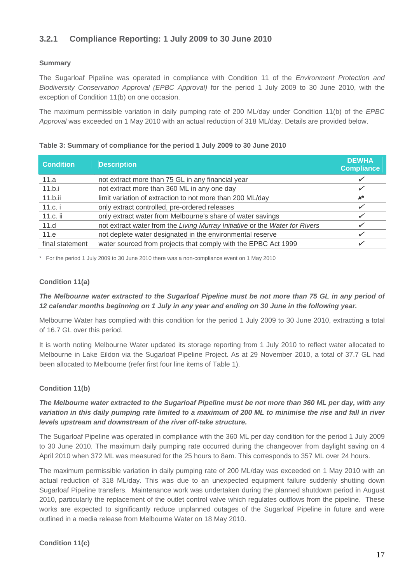### **3.2.1 Compliance Reporting: 1 July 2009 to 30 June 2010**

#### **Summary**

The Sugarloaf Pipeline was operated in compliance with Condition 11 of the *Environment Protection and Biodiversity Conservation Approval (EPBC Approval)* for the period 1 July 2009 to 30 June 2010, with the exception of Condition 11(b) on one occasion.

The maximum permissible variation in daily pumping rate of 200 ML/day under Condition 11(b) of the *EPBC Approval* was exceeded on 1 May 2010 with an actual reduction of 318 ML/day. Details are provided below.

#### **Condition Description DEWHA Compliance**  11.a **notick and respect more than 75 GL** in any financial year 9 and 11.a 11.b.i not extract more than 360 ML in any one day  $\sqrt{ }$ 11.b.ii limit variation of extraction to not more than 200 ML/day 8*\**  11.c. i only extract controlled, pre-ordered releases  $\checkmark$ 11.c. ii **but only extract water from Melbourne's share of water savings**  $\checkmark$ 11.d not extract water from the *Living Murray Initiative* or the *Water for Rivers* 11.e not deplete water designated in the environmental reserve final statement water sourced from projects that comply with the EPBC Act 1999  $\checkmark$

#### **Table 3: Summary of compliance for the period 1 July 2009 to 30 June 2010**

\* For the period 1 July 2009 to 30 June 2010 there was a non-compliance event on 1 May 2010

#### **Condition 11(a)**

#### *The Melbourne water extracted to the Sugarloaf Pipeline must be not more than 75 GL in any period of 12 calendar months beginning on 1 July in any year and ending on 30 June in the following year.*

Melbourne Water has complied with this condition for the period 1 July 2009 to 30 June 2010, extracting a total of 16.7 GL over this period.

It is worth noting Melbourne Water updated its storage reporting from 1 July 2010 to reflect water allocated to Melbourne in Lake Eildon via the Sugarloaf Pipeline Project. As at 29 November 2010, a total of 37.7 GL had been allocated to Melbourne (refer first four line items of Table 1).

#### **Condition 11(b)**

#### *The Melbourne water extracted to the Sugarloaf Pipeline must be not more than 360 ML per day, with any variation in this daily pumping rate limited to a maximum of 200 ML to minimise the rise and fall in river levels upstream and downstream of the river off-take structure.*

The Sugarloaf Pipeline was operated in compliance with the 360 ML per day condition for the period 1 July 2009 to 30 June 2010. The maximum daily pumping rate occurred during the changeover from daylight saving on 4 April 2010 when 372 ML was measured for the 25 hours to 8am. This corresponds to 357 ML over 24 hours.

The maximum permissible variation in daily pumping rate of 200 ML/day was exceeded on 1 May 2010 with an actual reduction of 318 ML/day. This was due to an unexpected equipment failure suddenly shutting down Sugarloaf Pipeline transfers. Maintenance work was undertaken during the planned shutdown period in August 2010, particularly the replacement of the outlet control valve which regulates outflows from the pipeline. These works are expected to significantly reduce unplanned outages of the Sugarloaf Pipeline in future and were outlined in a media release from Melbourne Water on 18 May 2010.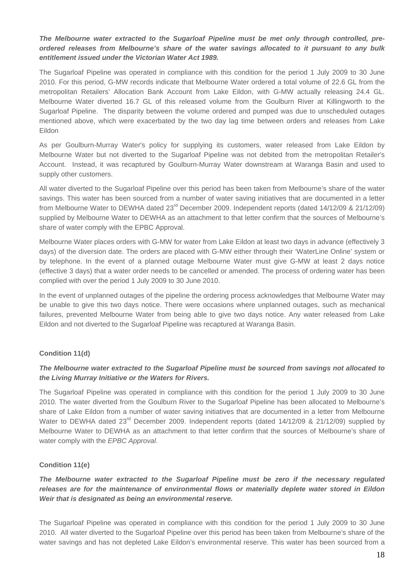#### *The Melbourne water extracted to the Sugarloaf Pipeline must be met only through controlled, preordered releases from Melbourne's share of the water savings allocated to it pursuant to any bulk entitlement issued under the Victorian Water Act 1989.*

The Sugarloaf Pipeline was operated in compliance with this condition for the period 1 July 2009 to 30 June 2010. For this period, G-MW records indicate that Melbourne Water ordered a total volume of 22.6 GL from the metropolitan Retailers' Allocation Bank Account from Lake Eildon, with G-MW actually releasing 24.4 GL. Melbourne Water diverted 16.7 GL of this released volume from the Goulburn River at Killingworth to the Sugarloaf Pipeline. The disparity between the volume ordered and pumped was due to unscheduled outages mentioned above, which were exacerbated by the two day lag time between orders and releases from Lake Eildon

As per Goulburn-Murray Water's policy for supplying its customers, water released from Lake Eildon by Melbourne Water but not diverted to the Sugarloaf Pipeline was not debited from the metropolitan Retailer's Account. Instead, it was recaptured by Goulburn-Murray Water downstream at Waranga Basin and used to supply other customers.

All water diverted to the Sugarloaf Pipeline over this period has been taken from Melbourne's share of the water savings. This water has been sourced from a number of water saving initiatives that are documented in a letter from Melbourne Water to DEWHA dated 23<sup>rd</sup> December 2009. Independent reports (dated 14/12/09 & 21/12/09) supplied by Melbourne Water to DEWHA as an attachment to that letter confirm that the sources of Melbourne's share of water comply with the EPBC Approval.

Melbourne Water places orders with G-MW for water from Lake Eildon at least two days in advance (effectively 3 days) of the diversion date. The orders are placed with G-MW either through their 'WaterLine Online' system or by telephone. In the event of a planned outage Melbourne Water must give G-MW at least 2 days notice (effective 3 days) that a water order needs to be cancelled or amended. The process of ordering water has been complied with over the period 1 July 2009 to 30 June 2010.

In the event of unplanned outages of the pipeline the ordering process acknowledges that Melbourne Water may be unable to give this two days notice. There were occasions where unplanned outages, such as mechanical failures, prevented Melbourne Water from being able to give two days notice. Any water released from Lake Eildon and not diverted to the Sugarloaf Pipeline was recaptured at Waranga Basin.

#### **Condition 11(d)**

#### *The Melbourne water extracted to the Sugarloaf Pipeline must be sourced from savings not allocated to the Living Murray Initiative or the Waters for Rivers.*

The Sugarloaf Pipeline was operated in compliance with this condition for the period 1 July 2009 to 30 June 2010. The water diverted from the Goulburn River to the Sugarloaf Pipeline has been allocated to Melbourne's share of Lake Eildon from a number of water saving initiatives that are documented in a letter from Melbourne Water to DEWHA dated 23<sup>rd</sup> December 2009. Independent reports (dated 14/12/09 & 21/12/09) supplied by Melbourne Water to DEWHA as an attachment to that letter confirm that the sources of Melbourne's share of water comply with the *EPBC Approval*.

#### **Condition 11(e)**

#### *The Melbourne water extracted to the Sugarloaf Pipeline must be zero if the necessary regulated releases are for the maintenance of environmental flows or materially deplete water stored in Eildon Weir that is designated as being an environmental reserve.*

The Sugarloaf Pipeline was operated in compliance with this condition for the period 1 July 2009 to 30 June 2010. All water diverted to the Sugarloaf Pipeline over this period has been taken from Melbourne's share of the water savings and has not depleted Lake Eildon's environmental reserve. This water has been sourced from a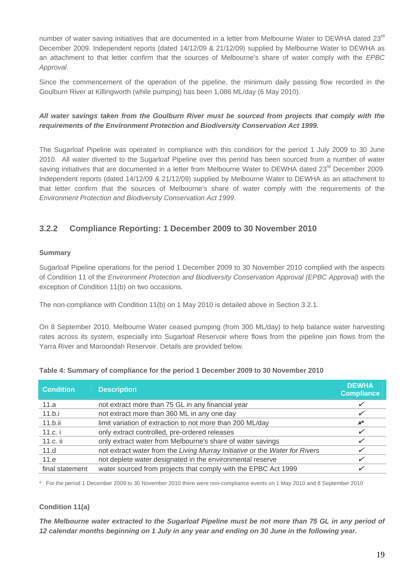number of water saving initiatives that are documented in a letter from Melbourne Water to DEWHA dated 23<sup>rd</sup> December 2009. Independent reports (dated 14/12/09 & 21/12/09) supplied by Melbourne Water to DEWHA as an attachment to that letter confirm that the sources of Melbourne's share of water comply with the *EPBC Approval*.

Since the commencement of the operation of the pipeline, the minimum daily passing flow recorded in the Goulburn River at Killingworth (while pumping) has been 1,086 ML/day (6 May 2010).

#### *All water savings taken from the Goulburn River must be sourced from projects that comply with the requirements of the Environment Protection and Biodiversity Conservation Act 1999.*

The Sugarloaf Pipeline was operated in compliance with this condition for the period 1 July 2009 to 30 June 2010. All water diverted to the Sugarloaf Pipeline over this period has been sourced from a number of water saving initiatives that are documented in a letter from Melbourne Water to DEWHA dated 23<sup>rd</sup> December 2009. Independent reports (dated 14/12/09 & 21/12/09) supplied by Melbourne Water to DEWHA as an attachment to that letter confirm that the sources of Melbourne's share of water comply with the requirements of the *Environment Protection and Biodiversity Conservation Act 1999*.

#### **3.2.2 Compliance Reporting: 1 December 2009 to 30 November 2010**

#### **Summary**

Sugarloaf Pipeline operations for the period 1 December 2009 to 30 November 2010 complied with the aspects of Condition 11 of the *Environment Protection and Biodiversity Conservation Approval (EPBC Approval)* with the exception of Condition 11(b) on two occasions.

The non-compliance with Condition 11(b) on 1 May 2010 is detailed above in Section 3.2.1.

On 8 September 2010, Melbourne Water ceased pumping (from 300 ML/day) to help balance water harvesting rates across its system, especially into Sugarloaf Reservoir where flows from the pipeline join flows from the Yarra River and Maroondah Reservoir. Details are provided below.

| <b>Condition</b> | <b>Description</b>                                                          | <b>DEWHA</b><br><b>Compliance</b> |
|------------------|-----------------------------------------------------------------------------|-----------------------------------|
| 11.a             | not extract more than 75 GL in any financial year                           |                                   |
| 11.b.i           | not extract more than 360 ML in any one day                                 |                                   |
| 11.b.ii          | limit variation of extraction to not more than 200 ML/day                   | $\boldsymbol{x}^{\star}$          |
| 11.c. i          | only extract controlled, pre-ordered releases                               |                                   |
| 11.c. ii         | only extract water from Melbourne's share of water savings                  |                                   |
| 11.d             | not extract water from the Living Murray Initiative or the Water for Rivers |                                   |
| 11.e             | not deplete water designated in the environmental reserve                   |                                   |
| final statement  | water sourced from projects that comply with the EPBC Act 1999              |                                   |

#### **Table 4: Summary of compliance for the period 1 December 2009 to 30 November 2010**

\* For the period 1 December 2009 to 30 November 2010 there were non-compliance events on 1 May 2010 and 8 September 2010

#### **Condition 11(a)**

*The Melbourne water extracted to the Sugarloaf Pipeline must be not more than 75 GL in any period of 12 calendar months beginning on 1 July in any year and ending on 30 June in the following year.*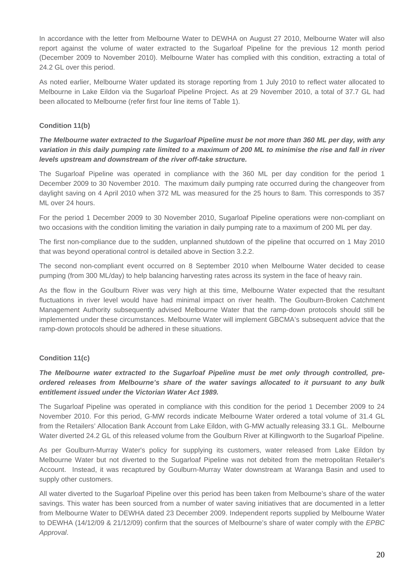In accordance with the letter from Melbourne Water to DEWHA on August 27 2010, Melbourne Water will also report against the volume of water extracted to the Sugarloaf Pipeline for the previous 12 month period (December 2009 to November 2010). Melbourne Water has complied with this condition, extracting a total of 24.2 GL over this period.

As noted earlier, Melbourne Water updated its storage reporting from 1 July 2010 to reflect water allocated to Melbourne in Lake Eildon via the Sugarloaf Pipeline Project. As at 29 November 2010, a total of 37.7 GL had been allocated to Melbourne (refer first four line items of Table 1).

#### **Condition 11(b)**

#### *The Melbourne water extracted to the Sugarloaf Pipeline must be not more than 360 ML per day, with any variation in this daily pumping rate limited to a maximum of 200 ML to minimise the rise and fall in river levels upstream and downstream of the river off-take structure.*

The Sugarloaf Pipeline was operated in compliance with the 360 ML per day condition for the period 1 December 2009 to 30 November 2010. The maximum daily pumping rate occurred during the changeover from daylight saving on 4 April 2010 when 372 ML was measured for the 25 hours to 8am. This corresponds to 357 ML over 24 hours.

For the period 1 December 2009 to 30 November 2010, Sugarloaf Pipeline operations were non-compliant on two occasions with the condition limiting the variation in daily pumping rate to a maximum of 200 ML per day.

The first non-compliance due to the sudden, unplanned shutdown of the pipeline that occurred on 1 May 2010 that was beyond operational control is detailed above in Section 3.2.2.

The second non-compliant event occurred on 8 September 2010 when Melbourne Water decided to cease pumping (from 300 ML/day) to help balancing harvesting rates across its system in the face of heavy rain.

As the flow in the Goulburn River was very high at this time, Melbourne Water expected that the resultant fluctuations in river level would have had minimal impact on river health. The Goulburn-Broken Catchment Management Authority subsequently advised Melbourne Water that the ramp-down protocols should still be implemented under these circumstances. Melbourne Water will implement GBCMA's subsequent advice that the ramp-down protocols should be adhered in these situations.

#### **Condition 11(c)**

#### *The Melbourne water extracted to the Sugarloaf Pipeline must be met only through controlled, preordered releases from Melbourne's share of the water savings allocated to it pursuant to any bulk entitlement issued under the Victorian Water Act 1989.*

The Sugarloaf Pipeline was operated in compliance with this condition for the period 1 December 2009 to 24 November 2010. For this period, G-MW records indicate Melbourne Water ordered a total volume of 31.4 GL from the Retailers' Allocation Bank Account from Lake Eildon, with G-MW actually releasing 33.1 GL. Melbourne Water diverted 24.2 GL of this released volume from the Goulburn River at Killingworth to the Sugarloaf Pipeline.

As per Goulburn-Murray Water's policy for supplying its customers, water released from Lake Eildon by Melbourne Water but not diverted to the Sugarloaf Pipeline was not debited from the metropolitan Retailer's Account. Instead, it was recaptured by Goulburn-Murray Water downstream at Waranga Basin and used to supply other customers.

All water diverted to the Sugarloaf Pipeline over this period has been taken from Melbourne's share of the water savings. This water has been sourced from a number of water saving initiatives that are documented in a letter from Melbourne Water to DEWHA dated 23 December 2009. Independent reports supplied by Melbourne Water to DEWHA (14/12/09 & 21/12/09) confirm that the sources of Melbourne's share of water comply with the *EPBC Approval*.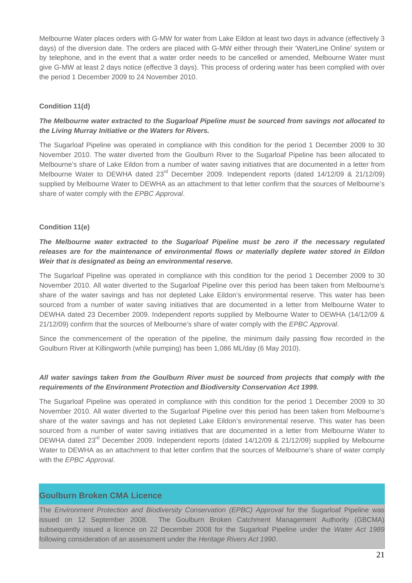Melbourne Water places orders with G-MW for water from Lake Eildon at least two days in advance (effectively 3 days) of the diversion date. The orders are placed with G-MW either through their 'WaterLine Online' system or by telephone, and in the event that a water order needs to be cancelled or amended, Melbourne Water must give G-MW at least 2 days notice (effective 3 days). This process of ordering water has been complied with over the period 1 December 2009 to 24 November 2010.

#### **Condition 11(d)**

#### *The Melbourne water extracted to the Sugarloaf Pipeline must be sourced from savings not allocated to the Living Murray Initiative or the Waters for Rivers.*

The Sugarloaf Pipeline was operated in compliance with this condition for the period 1 December 2009 to 30 November 2010. The water diverted from the Goulburn River to the Sugarloaf Pipeline has been allocated to Melbourne's share of Lake Eildon from a number of water saving initiatives that are documented in a letter from Melbourne Water to DEWHA dated 23<sup>rd</sup> December 2009. Independent reports (dated 14/12/09 & 21/12/09) supplied by Melbourne Water to DEWHA as an attachment to that letter confirm that the sources of Melbourne's share of water comply with the *EPBC Approval*.

#### **Condition 11(e)**

#### *The Melbourne water extracted to the Sugarloaf Pipeline must be zero if the necessary regulated releases are for the maintenance of environmental flows or materially deplete water stored in Eildon Weir that is designated as being an environmental reserve.*

The Sugarloaf Pipeline was operated in compliance with this condition for the period 1 December 2009 to 30 November 2010. All water diverted to the Sugarloaf Pipeline over this period has been taken from Melbourne's share of the water savings and has not depleted Lake Eildon's environmental reserve. This water has been sourced from a number of water saving initiatives that are documented in a letter from Melbourne Water to DEWHA dated 23 December 2009. Independent reports supplied by Melbourne Water to DEWHA (14/12/09 & 21/12/09) confirm that the sources of Melbourne's share of water comply with the *EPBC Approval*.

Since the commencement of the operation of the pipeline, the minimum daily passing flow recorded in the Goulburn River at Killingworth (while pumping) has been 1,086 ML/day (6 May 2010).

#### *All water savings taken from the Goulburn River must be sourced from projects that comply with the requirements of the Environment Protection and Biodiversity Conservation Act 1999.*

The Sugarloaf Pipeline was operated in compliance with this condition for the period 1 December 2009 to 30 November 2010. All water diverted to the Sugarloaf Pipeline over this period has been taken from Melbourne's share of the water savings and has not depleted Lake Eildon's environmental reserve. This water has been sourced from a number of water saving initiatives that are documented in a letter from Melbourne Water to DEWHA dated 23<sup>rd</sup> December 2009. Independent reports (dated 14/12/09 & 21/12/09) supplied by Melbourne Water to DEWHA as an attachment to that letter confirm that the sources of Melbourne's share of water comply with the *EPBC Approval*.

#### **Goulburn Broken CMA Licence**

The *Environment Protection and Biodiversity Conservation (EPBC) Approval* for the Sugarloaf Pipeline was issued on 12 September 2008. The Goulburn Broken Catchment Management Authority (GBCMA) subsequently issued a licence on 22 December 2008 for the Sugarloaf Pipeline under the *Water Act 1989* following consideration of an assessment under the *Heritage Rivers Act 1990*.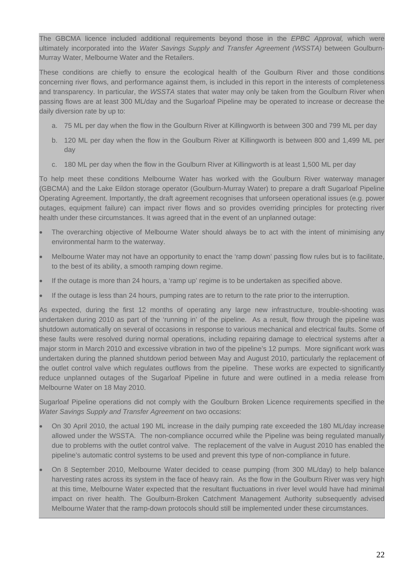The GBCMA licence included additional requirements beyond those in the *EPBC Approval,* which were ultimately incorporated into the *Water Savings Supply and Transfer Agreement (WSSTA)* between Goulburn-Murray Water, Melbourne Water and the Retailers.

These conditions are chiefly to ensure the ecological health of the Goulburn River and those conditions concerning river flows, and performance against them, is included in this report in the interests of completeness and transparency. In particular, the *WSSTA* states that water may only be taken from the Goulburn River when passing flows are at least 300 ML/day and the Sugarloaf Pipeline may be operated to increase or decrease the daily diversion rate by up to:

- a. 75 ML per day when the flow in the Goulburn River at Killingworth is between 300 and 799 ML per day
- b. 120 ML per day when the flow in the Goulburn River at Killingworth is between 800 and 1,499 ML per day
- c. 180 ML per day when the flow in the Goulburn River at Killingworth is at least 1,500 ML per day

To help meet these conditions Melbourne Water has worked with the Goulburn River waterway manager (GBCMA) and the Lake Eildon storage operator (Goulburn-Murray Water) to prepare a draft Sugarloaf Pipeline Operating Agreement. Importantly, the draft agreement recognises that unforseen operational issues (e.g. power outages, equipment failure) can impact river flows and so provides overriding principles for protecting river health under these circumstances. It was agreed that in the event of an unplanned outage:

- The overarching objective of Melbourne Water should always be to act with the intent of minimising any environmental harm to the waterway.
- Melbourne Water may not have an opportunity to enact the 'ramp down' passing flow rules but is to facilitate, to the best of its ability, a smooth ramping down regime.
- If the outage is more than 24 hours, a 'ramp up' regime is to be undertaken as specified above.
- If the outage is less than 24 hours, pumping rates are to return to the rate prior to the interruption.

As expected, during the first 12 months of operating any large new infrastructure, trouble-shooting was undertaken during 2010 as part of the 'running in' of the pipeline. As a result, flow through the pipeline was shutdown automatically on several of occasions in response to various mechanical and electrical faults. Some of these faults were resolved during normal operations, including repairing damage to electrical systems after a major storm in March 2010 and excessive vibration in two of the pipeline's 12 pumps. More significant work was undertaken during the planned shutdown period between May and August 2010, particularly the replacement of the outlet control valve which regulates outflows from the pipeline. These works are expected to significantly reduce unplanned outages of the Sugarloaf Pipeline in future and were outlined in a media release from Melbourne Water on 18 May 2010.

Sugarloaf Pipeline operations did not comply with the Goulburn Broken Licence requirements specified in the *Water Savings Supply and Transfer Agreement* on two occasions:

- On 30 April 2010, the actual 190 ML increase in the daily pumping rate exceeded the 180 ML/day increase allowed under the WSSTA. The non-compliance occurred while the Pipeline was being regulated manually due to problems with the outlet control valve. The replacement of the valve in August 2010 has enabled the pipeline's automatic control systems to be used and prevent this type of non-compliance in future.
- On 8 September 2010, Melbourne Water decided to cease pumping (from 300 ML/day) to help balance harvesting rates across its system in the face of heavy rain. As the flow in the Goulburn River was very high at this time, Melbourne Water expected that the resultant fluctuations in river level would have had minimal impact on river health. The Goulburn-Broken Catchment Management Authority subsequently advised Melbourne Water that the ramp-down protocols should still be implemented under these circumstances.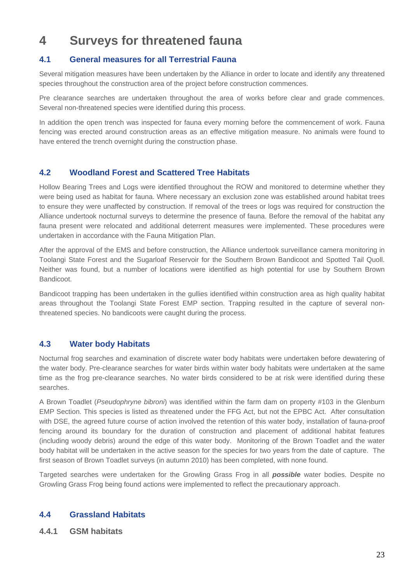### **4 Surveys for threatened fauna**

#### **4.1 General measures for all Terrestrial Fauna**

Several mitigation measures have been undertaken by the Alliance in order to locate and identify any threatened species throughout the construction area of the project before construction commences.

Pre clearance searches are undertaken throughout the area of works before clear and grade commences. Several non-threatened species were identified during this process.

In addition the open trench was inspected for fauna every morning before the commencement of work. Fauna fencing was erected around construction areas as an effective mitigation measure. No animals were found to have entered the trench overnight during the construction phase.

#### **4.2 Woodland Forest and Scattered Tree Habitats**

Hollow Bearing Trees and Logs were identified throughout the ROW and monitored to determine whether they were being used as habitat for fauna. Where necessary an exclusion zone was established around habitat trees to ensure they were unaffected by construction. If removal of the trees or logs was required for construction the Alliance undertook nocturnal surveys to determine the presence of fauna. Before the removal of the habitat any fauna present were relocated and additional deterrent measures were implemented. These procedures were undertaken in accordance with the Fauna Mitigation Plan.

After the approval of the EMS and before construction, the Alliance undertook surveillance camera monitoring in Toolangi State Forest and the Sugarloaf Reservoir for the Southern Brown Bandicoot and Spotted Tail Quoll. Neither was found, but a number of locations were identified as high potential for use by Southern Brown **Bandicoot** 

Bandicoot trapping has been undertaken in the gullies identified within construction area as high quality habitat areas throughout the Toolangi State Forest EMP section. Trapping resulted in the capture of several nonthreatened species. No bandicoots were caught during the process.

#### **4.3 Water body Habitats**

Nocturnal frog searches and examination of discrete water body habitats were undertaken before dewatering of the water body. Pre-clearance searches for water birds within water body habitats were undertaken at the same time as the frog pre-clearance searches. No water birds considered to be at risk were identified during these searches.

A Brown Toadlet (*Pseudophryne bibroni*) was identified within the farm dam on property #103 in the Glenburn EMP Section. This species is listed as threatened under the FFG Act, but not the EPBC Act. After consultation with DSE, the agreed future course of action involved the retention of this water body, installation of fauna-proof fencing around its boundary for the duration of construction and placement of additional habitat features (including woody debris) around the edge of this water body. Monitoring of the Brown Toadlet and the water body habitat will be undertaken in the active season for the species for two years from the date of capture. The first season of Brown Toadlet surveys (in autumn 2010) has been completed, with none found.

Targeted searches were undertaken for the Growling Grass Frog in all *possible* water bodies. Despite no Growling Grass Frog being found actions were implemented to reflect the precautionary approach.

#### **4.4 Grassland Habitats**

**4.4.1 GSM habitats**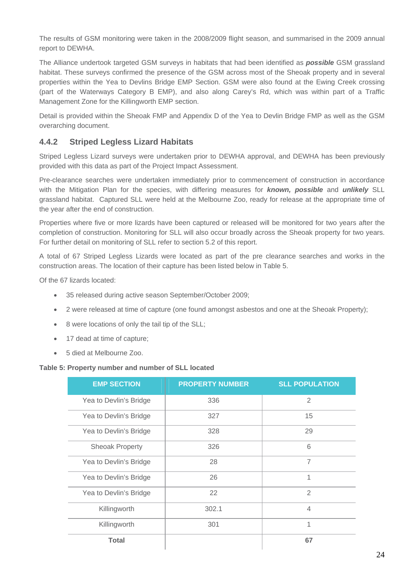The results of GSM monitoring were taken in the 2008/2009 flight season, and summarised in the 2009 annual report to DEWHA.

The Alliance undertook targeted GSM surveys in habitats that had been identified as *possible* GSM grassland habitat. These surveys confirmed the presence of the GSM across most of the Sheoak property and in several properties within the Yea to Devlins Bridge EMP Section. GSM were also found at the Ewing Creek crossing (part of the Waterways Category B EMP), and also along Carey's Rd, which was within part of a Traffic Management Zone for the Killingworth EMP section.

Detail is provided within the Sheoak FMP and Appendix D of the Yea to Devlin Bridge FMP as well as the GSM overarching document.

#### **4.4.2 Striped Legless Lizard Habitats**

Striped Legless Lizard surveys were undertaken prior to DEWHA approval, and DEWHA has been previously provided with this data as part of the Project Impact Assessment.

Pre-clearance searches were undertaken immediately prior to commencement of construction in accordance with the Mitigation Plan for the species, with differing measures for *known, possible* and *unlikely* SLL grassland habitat. Captured SLL were held at the Melbourne Zoo, ready for release at the appropriate time of the year after the end of construction.

Properties where five or more lizards have been captured or released will be monitored for two years after the completion of construction. Monitoring for SLL will also occur broadly across the Sheoak property for two years. For further detail on monitoring of SLL refer to section 5.2 of this report.

A total of 67 Striped Legless Lizards were located as part of the pre clearance searches and works in the construction areas. The location of their capture has been listed below in Table 5.

Of the 67 lizards located:

- 35 released during active season September/October 2009;
- 2 were released at time of capture (one found amongst asbestos and one at the Sheoak Property);
- 8 were locations of only the tail tip of the SLL;
- 17 dead at time of capture;
- 5 died at Melbourne Zoo.

#### **Table 5: Property number and number of SLL located**

| <b>EMP SECTION</b>     | <b>PROPERTY NUMBER</b> | <b>SLL POPULATION</b> |
|------------------------|------------------------|-----------------------|
| Yea to Devlin's Bridge | 336                    | 2                     |
| Yea to Devlin's Bridge | 327                    | 15                    |
| Yea to Devlin's Bridge | 328                    | 29                    |
| <b>Sheoak Property</b> | 326                    | 6                     |
| Yea to Devlin's Bridge | 28                     | $\overline{7}$        |
| Yea to Devlin's Bridge | 26                     | 1                     |
| Yea to Devlin's Bridge | 22                     | $\overline{2}$        |
| Killingworth           | 302.1                  | $\overline{4}$        |
| Killingworth           | 301                    | 1                     |
| <b>Total</b>           |                        | 67                    |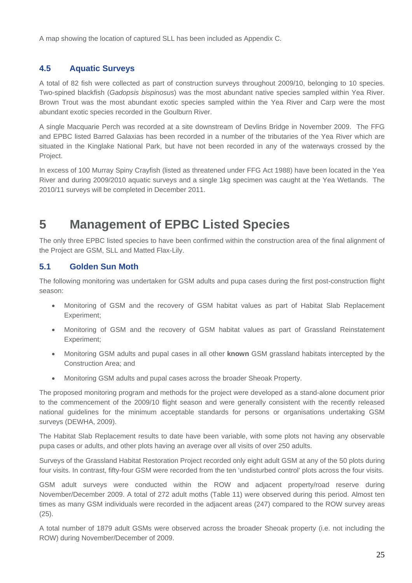A map showing the location of captured SLL has been included as Appendix C.

### **4.5 Aquatic Surveys**

A total of 82 fish were collected as part of construction surveys throughout 2009/10, belonging to 10 species. Two-spined blackfish (*Gadopsis bispinosus*) was the most abundant native species sampled within Yea River. Brown Trout was the most abundant exotic species sampled within the Yea River and Carp were the most abundant exotic species recorded in the Goulburn River.

A single Macquarie Perch was recorded at a site downstream of Devlins Bridge in November 2009. The FFG and EPBC listed Barred Galaxias has been recorded in a number of the tributaries of the Yea River which are situated in the Kinglake National Park, but have not been recorded in any of the waterways crossed by the Project.

In excess of 100 Murray Spiny Crayfish (listed as threatened under FFG Act 1988) have been located in the Yea River and during 2009/2010 aquatic surveys and a single 1kg specimen was caught at the Yea Wetlands. The 2010/11 surveys will be completed in December 2011.

### **5 Management of EPBC Listed Species**

The only three EPBC listed species to have been confirmed within the construction area of the final alignment of the Project are GSM, SLL and Matted Flax-Lily.

#### **5.1 Golden Sun Moth**

The following monitoring was undertaken for GSM adults and pupa cases during the first post-construction flight season:

- Monitoring of GSM and the recovery of GSM habitat values as part of Habitat Slab Replacement Experiment;
- Monitoring of GSM and the recovery of GSM habitat values as part of Grassland Reinstatement Experiment;
- Monitoring GSM adults and pupal cases in all other **known** GSM grassland habitats intercepted by the Construction Area; and
- Monitoring GSM adults and pupal cases across the broader Sheoak Property.

The proposed monitoring program and methods for the project were developed as a stand-alone document prior to the commencement of the 2009/10 flight season and were generally consistent with the recently released national guidelines for the minimum acceptable standards for persons or organisations undertaking GSM surveys (DEWHA, 2009).

The Habitat Slab Replacement results to date have been variable, with some plots not having any observable pupa cases or adults, and other plots having an average over all visits of over 250 adults.

Surveys of the Grassland Habitat Restoration Project recorded only eight adult GSM at any of the 50 plots during four visits. In contrast, fifty-four GSM were recorded from the ten 'undisturbed control' plots across the four visits.

GSM adult surveys were conducted within the ROW and adjacent property/road reserve during November/December 2009. A total of 272 adult moths (Table 11) were observed during this period. Almost ten times as many GSM individuals were recorded in the adjacent areas (247) compared to the ROW survey areas (25).

A total number of 1879 adult GSMs were observed across the broader Sheoak property (i.e. not including the ROW) during November/December of 2009.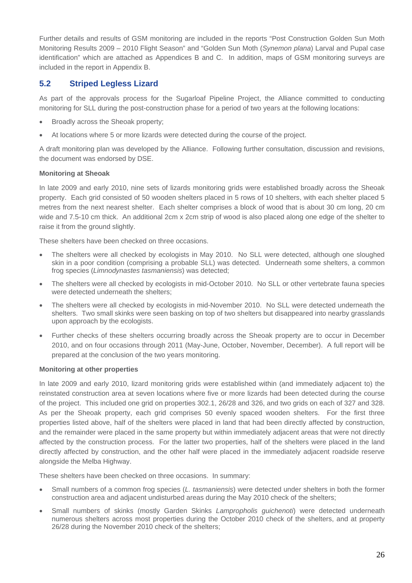Further details and results of GSM monitoring are included in the reports "Post Construction Golden Sun Moth Monitoring Results 2009 – 2010 Flight Season" and "Golden Sun Moth (*Synemon plana*) Larval and Pupal case identification" which are attached as Appendices B and C. In addition, maps of GSM monitoring surveys are included in the report in Appendix B.

#### **5.2 Striped Legless Lizard**

As part of the approvals process for the Sugarloaf Pipeline Project, the Alliance committed to conducting monitoring for SLL during the post-construction phase for a period of two years at the following locations:

- Broadly across the Sheoak property;
- At locations where 5 or more lizards were detected during the course of the project.

A draft monitoring plan was developed by the Alliance. Following further consultation, discussion and revisions, the document was endorsed by DSE.

#### **Monitoring at Sheoak**

In late 2009 and early 2010, nine sets of lizards monitoring grids were established broadly across the Sheoak property. Each grid consisted of 50 wooden shelters placed in 5 rows of 10 shelters, with each shelter placed 5 metres from the next nearest shelter. Each shelter comprises a block of wood that is about 30 cm long, 20 cm wide and 7.5-10 cm thick. An additional 2cm x 2cm strip of wood is also placed along one edge of the shelter to raise it from the ground slightly.

These shelters have been checked on three occasions.

- The shelters were all checked by ecologists in May 2010. No SLL were detected, although one sloughed skin in a poor condition (comprising a probable SLL) was detected. Underneath some shelters, a common frog species (*Limnodynastes tasmaniensis*) was detected;
- The shelters were all checked by ecologists in mid-October 2010. No SLL or other vertebrate fauna species were detected underneath the shelters;
- The shelters were all checked by ecologists in mid-November 2010. No SLL were detected underneath the shelters. Two small skinks were seen basking on top of two shelters but disappeared into nearby grasslands upon approach by the ecologists.
- Further checks of these shelters occurring broadly across the Sheoak property are to occur in December 2010, and on four occasions through 2011 (May-June, October, November, December). A full report will be prepared at the conclusion of the two years monitoring.

#### **Monitoring at other properties**

In late 2009 and early 2010, lizard monitoring grids were established within (and immediately adjacent to) the reinstated construction area at seven locations where five or more lizards had been detected during the course of the project. This included one grid on properties 302.1, 26/28 and 326, and two grids on each of 327 and 328. As per the Sheoak property, each grid comprises 50 evenly spaced wooden shelters. For the first three properties listed above, half of the shelters were placed in land that had been directly affected by construction, and the remainder were placed in the same property but within immediately adjacent areas that were not directly affected by the construction process. For the latter two properties, half of the shelters were placed in the land directly affected by construction, and the other half were placed in the immediately adjacent roadside reserve alongside the Melba Highway.

These shelters have been checked on three occasions. In summary:

- Small numbers of a common frog species (*L. tasmaniensis*) were detected under shelters in both the former construction area and adjacent undisturbed areas during the May 2010 check of the shelters;
- Small numbers of skinks (mostly Garden Skinks *Lampropholis guichenoti*) were detected underneath numerous shelters across most properties during the October 2010 check of the shelters, and at property 26/28 during the November 2010 check of the shelters;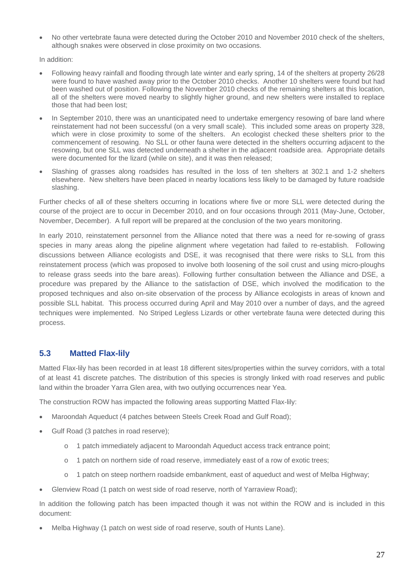• No other vertebrate fauna were detected during the October 2010 and November 2010 check of the shelters, although snakes were observed in close proximity on two occasions.

In addition:

- Following heavy rainfall and flooding through late winter and early spring, 14 of the shelters at property 26/28 were found to have washed away prior to the October 2010 checks. Another 10 shelters were found but had been washed out of position. Following the November 2010 checks of the remaining shelters at this location, all of the shelters were moved nearby to slightly higher ground, and new shelters were installed to replace those that had been lost;
- In September 2010, there was an unanticipated need to undertake emergency resowing of bare land where reinstatement had not been successful (on a very small scale). This included some areas on property 328, which were in close proximity to some of the shelters. An ecologist checked these shelters prior to the commencement of resowing. No SLL or other fauna were detected in the shelters occurring adjacent to the resowing, but one SLL was detected underneath a shelter in the adjacent roadside area. Appropriate details were documented for the lizard (while on site), and it was then released;
- Slashing of grasses along roadsides has resulted in the loss of ten shelters at 302.1 and 1-2 shelters elsewhere. New shelters have been placed in nearby locations less likely to be damaged by future roadside slashing.

Further checks of all of these shelters occurring in locations where five or more SLL were detected during the course of the project are to occur in December 2010, and on four occasions through 2011 (May-June, October, November, December). A full report will be prepared at the conclusion of the two years monitoring.

In early 2010, reinstatement personnel from the Alliance noted that there was a need for re-sowing of grass species in many areas along the pipeline alignment where vegetation had failed to re-establish. Following discussions between Alliance ecologists and DSE, it was recognised that there were risks to SLL from this reinstatement process (which was proposed to involve both loosening of the soil crust and using micro-ploughs to release grass seeds into the bare areas). Following further consultation between the Alliance and DSE, a procedure was prepared by the Alliance to the satisfaction of DSE, which involved the modification to the proposed techniques and also on-site observation of the process by Alliance ecologists in areas of known and possible SLL habitat. This process occurred during April and May 2010 over a number of days, and the agreed techniques were implemented. No Striped Legless Lizards or other vertebrate fauna were detected during this process.

#### **5.3 Matted Flax-lily**

Matted Flax-lily has been recorded in at least 18 different sites/properties within the survey corridors, with a total of at least 41 discrete patches. The distribution of this species is strongly linked with road reserves and public land within the broader Yarra Glen area, with two outlying occurrences near Yea.

The construction ROW has impacted the following areas supporting Matted Flax-lily:

- Maroondah Aqueduct (4 patches between Steels Creek Road and Gulf Road);
- Gulf Road (3 patches in road reserve);
	- o 1 patch immediately adjacent to Maroondah Aqueduct access track entrance point;
	- o 1 patch on northern side of road reserve, immediately east of a row of exotic trees;
	- o 1 patch on steep northern roadside embankment, east of aqueduct and west of Melba Highway;
- Glenview Road (1 patch on west side of road reserve, north of Yarraview Road);

In addition the following patch has been impacted though it was not within the ROW and is included in this document:

Melba Highway (1 patch on west side of road reserve, south of Hunts Lane).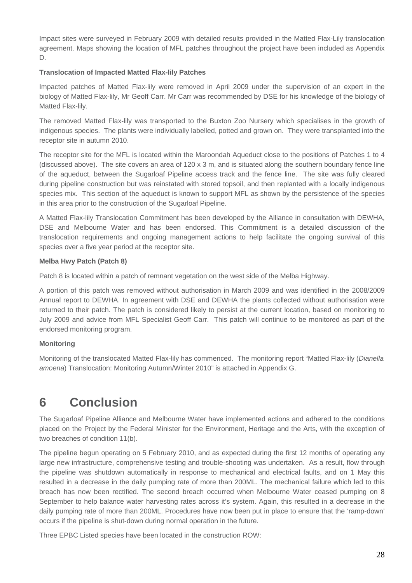Impact sites were surveyed in February 2009 with detailed results provided in the Matted Flax-Lily translocation agreement. Maps showing the location of MFL patches throughout the project have been included as Appendix D.

#### **Translocation of Impacted Matted Flax-lily Patches**

Impacted patches of Matted Flax-lily were removed in April 2009 under the supervision of an expert in the biology of Matted Flax-lily, Mr Geoff Carr. Mr Carr was recommended by DSE for his knowledge of the biology of Matted Flax-lily.

The removed Matted Flax-lily was transported to the Buxton Zoo Nursery which specialises in the growth of indigenous species. The plants were individually labelled, potted and grown on. They were transplanted into the receptor site in autumn 2010.

The receptor site for the MFL is located within the Maroondah Aqueduct close to the positions of Patches 1 to 4 (discussed above). The site covers an area of 120 x 3 m, and is situated along the southern boundary fence line of the aqueduct, between the Sugarloaf Pipeline access track and the fence line. The site was fully cleared during pipeline construction but was reinstated with stored topsoil, and then replanted with a locally indigenous species mix. This section of the aqueduct is known to support MFL as shown by the persistence of the species in this area prior to the construction of the Sugarloaf Pipeline.

A Matted Flax-lily Translocation Commitment has been developed by the Alliance in consultation with DEWHA, DSE and Melbourne Water and has been endorsed. This Commitment is a detailed discussion of the translocation requirements and ongoing management actions to help facilitate the ongoing survival of this species over a five year period at the receptor site.

#### **Melba Hwy Patch (Patch 8)**

Patch 8 is located within a patch of remnant vegetation on the west side of the Melba Highway.

A portion of this patch was removed without authorisation in March 2009 and was identified in the 2008/2009 Annual report to DEWHA. In agreement with DSE and DEWHA the plants collected without authorisation were returned to their patch. The patch is considered likely to persist at the current location, based on monitoring to July 2009 and advice from MFL Specialist Geoff Carr. This patch will continue to be monitored as part of the endorsed monitoring program.

#### **Monitoring**

Monitoring of the translocated Matted Flax-lily has commenced. The monitoring report "Matted Flax-lily (*Dianella amoena*) Translocation: Monitoring Autumn/Winter 2010" is attached in Appendix G.

### **6 Conclusion**

The Sugarloaf Pipeline Alliance and Melbourne Water have implemented actions and adhered to the conditions placed on the Project by the Federal Minister for the Environment, Heritage and the Arts, with the exception of two breaches of condition 11(b).

The pipeline begun operating on 5 February 2010, and as expected during the first 12 months of operating any large new infrastructure, comprehensive testing and trouble-shooting was undertaken. As a result, flow through the pipeline was shutdown automatically in response to mechanical and electrical faults, and on 1 May this resulted in a decrease in the daily pumping rate of more than 200ML. The mechanical failure which led to this breach has now been rectified. The second breach occurred when Melbourne Water ceased pumping on 8 September to help balance water harvesting rates across it's system. Again, this resulted in a decrease in the daily pumping rate of more than 200ML. Procedures have now been put in place to ensure that the 'ramp-down' occurs if the pipeline is shut-down during normal operation in the future.

Three EPBC Listed species have been located in the construction ROW: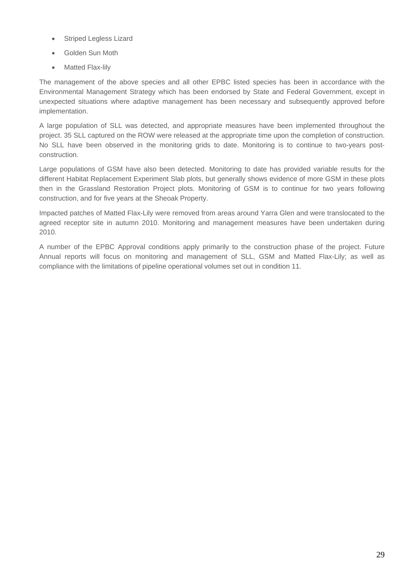- Striped Legless Lizard
- Golden Sun Moth
- Matted Flax-lily

The management of the above species and all other EPBC listed species has been in accordance with the Environmental Management Strategy which has been endorsed by State and Federal Government, except in unexpected situations where adaptive management has been necessary and subsequently approved before implementation.

A large population of SLL was detected, and appropriate measures have been implemented throughout the project. 35 SLL captured on the ROW were released at the appropriate time upon the completion of construction. No SLL have been observed in the monitoring grids to date. Monitoring is to continue to two-years postconstruction.

Large populations of GSM have also been detected. Monitoring to date has provided variable results for the different Habitat Replacement Experiment Slab plots, but generally shows evidence of more GSM in these plots then in the Grassland Restoration Project plots. Monitoring of GSM is to continue for two years following construction, and for five years at the Sheoak Property.

Impacted patches of Matted Flax-Lily were removed from areas around Yarra Glen and were translocated to the agreed receptor site in autumn 2010. Monitoring and management measures have been undertaken during 2010.

A number of the EPBC Approval conditions apply primarily to the construction phase of the project. Future Annual reports will focus on monitoring and management of SLL, GSM and Matted Flax-Lily; as well as compliance with the limitations of pipeline operational volumes set out in condition 11.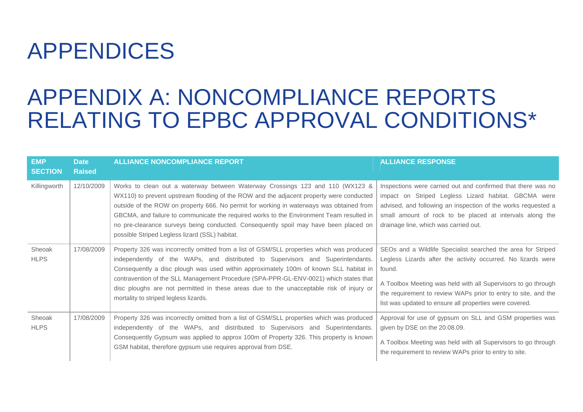## APPENDICES

## APPENDIX A: NONCOMPLIANCE REPORTS RELATING TO EPBC APPROVAL CONDITIONS\*

| <b>EMP</b><br><b>SECTION</b> | <b>Date</b><br><b>Raised</b> | <b>ALLIANCE NONCOMPLIANCE REPORT</b>                                                                                                                                                                                                                                                                                                                                                                                                                                                                       | <b>ALLIANCE RESPONSE</b>                                                                                                                                                                                                                                                                                                             |
|------------------------------|------------------------------|------------------------------------------------------------------------------------------------------------------------------------------------------------------------------------------------------------------------------------------------------------------------------------------------------------------------------------------------------------------------------------------------------------------------------------------------------------------------------------------------------------|--------------------------------------------------------------------------------------------------------------------------------------------------------------------------------------------------------------------------------------------------------------------------------------------------------------------------------------|
| Killingworth                 | 12/10/2009                   | Works to clean out a waterway between Waterway Crossings 123 and 110 (WX123 &<br>WX110) to prevent upstream flooding of the ROW and the adjacent property were conducted<br>outside of the ROW on property 666. No permit for working in waterways was obtained from<br>GBCMA, and failure to communicate the required works to the Environment Team resulted in<br>no pre-clearance surveys being conducted. Consequently spoil may have been placed on<br>possible Striped Legless lizard (SSL) habitat. | Inspections were carried out and confirmed that there was no<br>impact on Striped Legless Lizard habitat. GBCMA were<br>advised, and following an inspection of the works requested a<br>small amount of rock to be placed at intervals along the<br>drainage line, which was carried out.                                           |
| Sheoak<br><b>HLPS</b>        | 17/08/2009                   | Property 326 was incorrectly omitted from a list of GSM/SLL properties which was produced<br>independently of the WAPs, and distributed to Supervisors and Superintendants.<br>Consequently a disc plough was used within approximately 100m of known SLL habitat in<br>contravention of the SLL Management Procedure (SPA-PPR-GL-ENV-0021) which states that<br>disc ploughs are not permitted in these areas due to the unacceptable risk of injury or<br>mortality to striped legless lizards.          | SEOs and a Wildlife Specialist searched the area for Striped<br>Legless Lizards after the activity occurred. No lizards were<br>found.<br>A Toolbox Meeting was held with all Supervisors to go through<br>the requirement to review WAPs prior to entry to site, and the<br>list was updated to ensure all properties were covered. |
| Sheoak<br><b>HLPS</b>        | 17/08/2009                   | Property 326 was incorrectly omitted from a list of GSM/SLL properties which was produced<br>independently of the WAPs, and distributed to Supervisors and Superintendants.<br>Consequently Gypsum was applied to approx 100m of Property 326. This property is known<br>GSM habitat, therefore gypsum use requires approval from DSE.                                                                                                                                                                     | Approval for use of gypsum on SLL and GSM properties was<br>given by DSE on the 20.08.09.<br>A Toolbox Meeting was held with all Supervisors to go through<br>the requirement to review WAPs prior to entry to site.                                                                                                                 |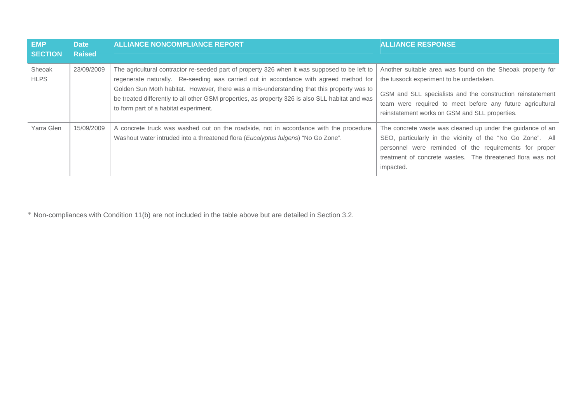| <b>EMP</b><br><b>SECTION</b> | <b>Date</b><br><b>Raised</b> | <b>ALLIANCE NONCOMPLIANCE REPORT</b>                                                                                                                                                                                                                                                                                                                                                                                            | <b>ALLIANCE RESPONSE</b>                                                                                                                                                                                                                                                            |
|------------------------------|------------------------------|---------------------------------------------------------------------------------------------------------------------------------------------------------------------------------------------------------------------------------------------------------------------------------------------------------------------------------------------------------------------------------------------------------------------------------|-------------------------------------------------------------------------------------------------------------------------------------------------------------------------------------------------------------------------------------------------------------------------------------|
| Sheoak<br><b>HLPS</b>        | 23/09/2009                   | The agricultural contractor re-seeded part of property 326 when it was supposed to be left to<br>regenerate naturally. Re-seeding was carried out in accordance with agreed method for<br>Golden Sun Moth habitat. However, there was a mis-understanding that this property was to<br>be treated differently to all other GSM properties, as property 326 is also SLL habitat and was<br>to form part of a habitat experiment. | Another suitable area was found on the Sheoak property for<br>the tussock experiment to be undertaken.<br>GSM and SLL specialists and the construction reinstatement<br>team were required to meet before any future agricultural<br>reinstatement works on GSM and SLL properties. |
| Yarra Glen                   | 15/09/2009                   | A concrete truck was washed out on the roadside, not in accordance with the procedure.<br>Washout water intruded into a threatened flora (Eucalyptus fulgens) "No Go Zone".                                                                                                                                                                                                                                                     | The concrete waste was cleaned up under the guidance of an<br>SEO, particularly in the vicinity of the "No Go Zone". All<br>personnel were reminded of the requirements for proper<br>treatment of concrete wastes. The threatened flora was not<br>impacted.                       |

\* Non-compliances with Condition 11(b) are not included in the table above but are detailed in Section 3.2.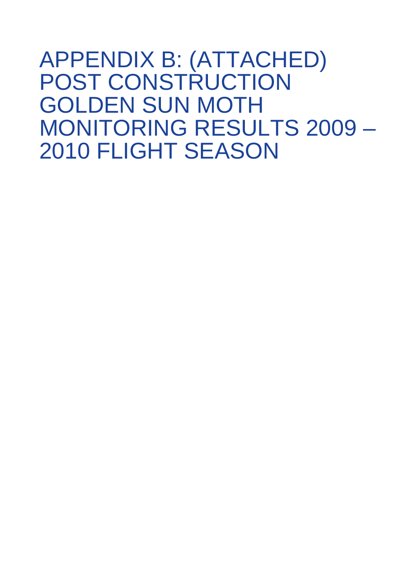APPENDIX B: (ATTACHED) POST CONSTRUCTION GOLDEN SUN MOTH MONITORING RESULTS 2009 – 2010 FLIGHT SEASON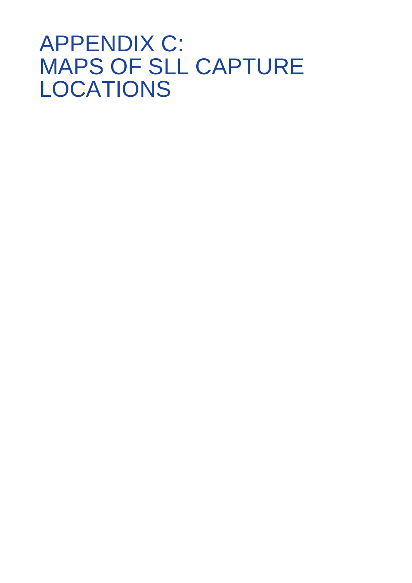## APPENDIX C: MAPS OF SLL CAPTURE LOCATIONS

- 
- 
- 
- -
- 
- -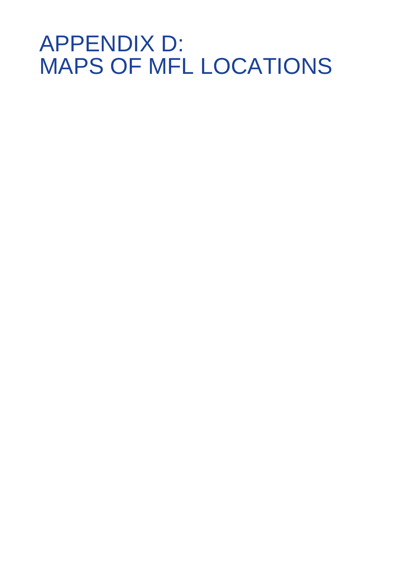## APPENDIX D: MAPS OF MFL LOCATIONS

- 
- 
- 
- 
- -
	-
-